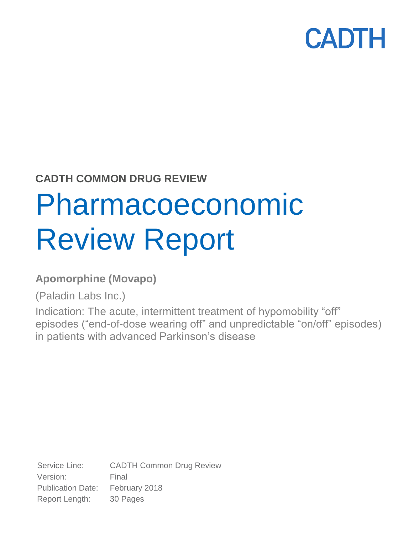## **CADTH COMMON DRUG REVIEW**

# Pharmacoeconomic Review Report

## **Apomorphine (Movapo)**

(Paladin Labs Inc.)

Indication: The acute, intermittent treatment of hypomobility "off" episodes ("end-of-dose wearing off" and unpredictable "on/off" episodes) in patients with advanced Parkinson's disease

Service Line: CADTH Common Drug Review Version: Final Publication Date: February 2018 Report Length: 30 Pages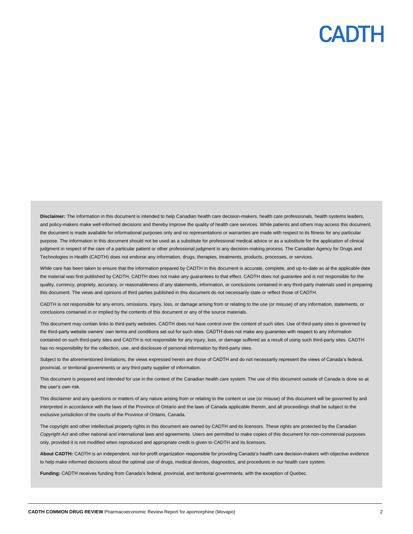**Disclaimer:** The information in this document is intended to help Canadian health care decision-makers, health care professionals, health systems leaders, and policy-makers make well-informed decisions and thereby improve the quality of health care services. While patients and others may access this document, the document is made available for informational purposes only and no representations or warranties are made with respect to its fitness for any particular purpose. The information in this document should not be used as a substitute for professional medical advice or as a substitute for the application of clinical judgment in respect of the care of a particular patient or other professional judgment in any decision-making process. The Canadian Agency for Drugs and Technologies in Health (CADTH) does not endorse any information, drugs, therapies, treatments, products, processes, or services.

While care has been taken to ensure that the information prepared by CADTH in this document is accurate, complete, and up-to-date as at the applicable date the material was first published by CADTH, CADTH does not make any guarantees to that effect. CADTH does not guarantee and is not responsible for the quality, currency, propriety, accuracy, or reasonableness of any statements, information, or conclusions contained in any third-party materials used in preparing this document. The views and opinions of third parties published in this document do not necessarily state or reflect those of CADTH.

CADTH is not responsible for any errors, omissions, injury, loss, or damage arising from or relating to the use (or misuse) of any information, statements, or conclusions contained in or implied by the contents of this document or any of the source materials.

This document may contain links to third-party websites. CADTH does not have control over the content of such sites. Use of third-party sites is governed by the third-party website owners' own terms and conditions set out for such sites. CADTH does not make any guarantee with respect to any information contained on such third-party sites and CADTH is not responsible for any injury, loss, or damage suffered as a result of using such third-party sites. CADTH has no responsibility for the collection, use, and disclosure of personal information by third-party sites.

Subject to the aforementioned limitations, the views expressed herein are those of CADTH and do not necessarily represent the views of Canada's federal, provincial, or territorial governments or any third party supplier of information.

This document is prepared and intended for use in the context of the Canadian health care system. The use of this document outside of Canada is done so at the user's own risk.

This disclaimer and any questions or matters of any nature arising from or relating to the content or use (or misuse) of this document will be governed by and interpreted in accordance with the laws of the Province of Ontario and the laws of Canada applicable therein, and all proceedings shall be subject to the exclusive jurisdiction of the courts of the Province of Ontario, Canada.

The copyright and other intellectual property rights in this document are owned by CADTH and its licensors. These rights are protected by the Canadian *Copyright Act* and other national and international laws and agreements. Users are permitted to make copies of this document for non-commercial purposes only, provided it is not modified when reproduced and appropriate credit is given to CADTH and its licensors.

**About CADTH:** CADTH is an independent, not-for-profit organization responsible for providing Canada's health care decision-makers with objective evidence to help make informed decisions about the optimal use of drugs, medical devices, diagnostics, and procedures in our health care system.

**Funding:** CADTH receives funding from Canada's federal, provincial, and territorial governments, with the exception of Quebec.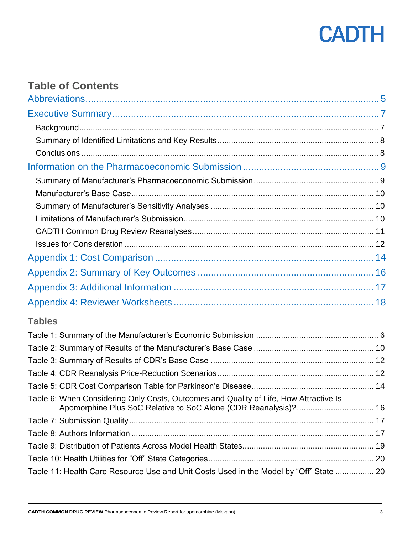

## **Table of Contents**

| <b>Tables</b>                                                                                                                                            |  |
|----------------------------------------------------------------------------------------------------------------------------------------------------------|--|
|                                                                                                                                                          |  |
|                                                                                                                                                          |  |
|                                                                                                                                                          |  |
|                                                                                                                                                          |  |
|                                                                                                                                                          |  |
| Table 6: When Considering Only Costs, Outcomes and Quality of Life, How Attractive Is<br>Apomorphine Plus SoC Relative to SoC Alone (CDR Reanalysis)? 16 |  |
|                                                                                                                                                          |  |
|                                                                                                                                                          |  |
|                                                                                                                                                          |  |
|                                                                                                                                                          |  |
| Table 11: Health Care Resource Use and Unit Costs Used in the Model by "Off" State  20                                                                   |  |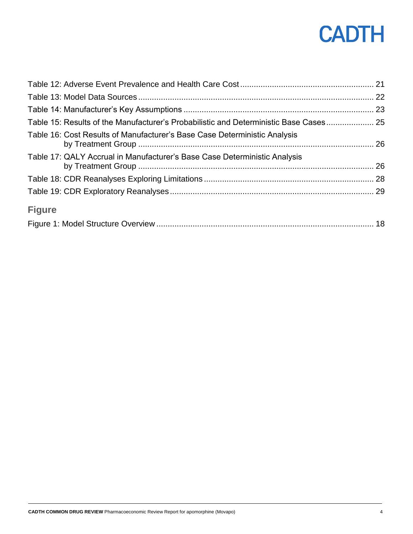| Table 15: Results of the Manufacturer's Probabilistic and Deterministic Base Cases 25 |  |
|---------------------------------------------------------------------------------------|--|
| Table 16: Cost Results of Manufacturer's Base Case Deterministic Analysis             |  |
| Table 17: QALY Accrual in Manufacturer's Base Case Deterministic Analysis             |  |
|                                                                                       |  |
|                                                                                       |  |
| <b>Figure</b>                                                                         |  |
|                                                                                       |  |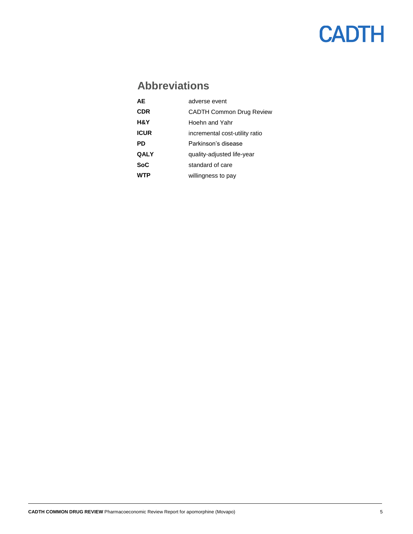## **Abbreviations**

<span id="page-4-0"></span>

| ΔF          | adverse event                   |
|-------------|---------------------------------|
| <b>CDR</b>  | <b>CADTH Common Drug Review</b> |
| H&Y         | Hoehn and Yahr                  |
| ICUR        | incremental cost-utility ratio  |
| PD          | Parkinson's disease             |
| <b>QALY</b> | quality-adjusted life-year      |
| SoC         | standard of care                |
|             | willingness to pay              |
|             |                                 |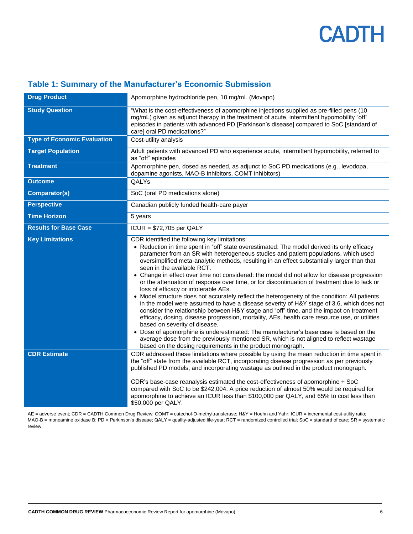| <b>Drug Product</b>                | Apomorphine hydrochloride pen, 10 mg/mL (Movapo)                                                                                                                                                                                                                                                                                                                                                                                                                                                                                                                                                                                                                                                                                                                                                                                                                                                                                                                                                                                                                                                                                                                                                                                                                                     |
|------------------------------------|--------------------------------------------------------------------------------------------------------------------------------------------------------------------------------------------------------------------------------------------------------------------------------------------------------------------------------------------------------------------------------------------------------------------------------------------------------------------------------------------------------------------------------------------------------------------------------------------------------------------------------------------------------------------------------------------------------------------------------------------------------------------------------------------------------------------------------------------------------------------------------------------------------------------------------------------------------------------------------------------------------------------------------------------------------------------------------------------------------------------------------------------------------------------------------------------------------------------------------------------------------------------------------------|
| <b>Study Question</b>              | "What is the cost-effectiveness of apomorphine injections supplied as pre-filled pens (10<br>mg/mL) given as adjunct therapy in the treatment of acute, intermittent hypomobility "off"<br>episodes in patients with advanced PD [Parkinson's disease] compared to SoC [standard of<br>care] oral PD medications?"                                                                                                                                                                                                                                                                                                                                                                                                                                                                                                                                                                                                                                                                                                                                                                                                                                                                                                                                                                   |
| <b>Type of Economic Evaluation</b> | Cost-utility analysis                                                                                                                                                                                                                                                                                                                                                                                                                                                                                                                                                                                                                                                                                                                                                                                                                                                                                                                                                                                                                                                                                                                                                                                                                                                                |
| <b>Target Population</b>           | Adult patients with advanced PD who experience acute, intermittent hypomobility, referred to<br>as "off" episodes                                                                                                                                                                                                                                                                                                                                                                                                                                                                                                                                                                                                                                                                                                                                                                                                                                                                                                                                                                                                                                                                                                                                                                    |
| <b>Treatment</b>                   | Apomorphine pen, dosed as needed, as adjunct to SoC PD medications (e.g., levodopa,<br>dopamine agonists, MAO-B inhibitors, COMT inhibitors)                                                                                                                                                                                                                                                                                                                                                                                                                                                                                                                                                                                                                                                                                                                                                                                                                                                                                                                                                                                                                                                                                                                                         |
| <b>Outcome</b>                     | QALYs                                                                                                                                                                                                                                                                                                                                                                                                                                                                                                                                                                                                                                                                                                                                                                                                                                                                                                                                                                                                                                                                                                                                                                                                                                                                                |
| Comparator(s)                      | SoC (oral PD medications alone)                                                                                                                                                                                                                                                                                                                                                                                                                                                                                                                                                                                                                                                                                                                                                                                                                                                                                                                                                                                                                                                                                                                                                                                                                                                      |
| <b>Perspective</b>                 | Canadian publicly funded health-care payer                                                                                                                                                                                                                                                                                                                                                                                                                                                                                                                                                                                                                                                                                                                                                                                                                                                                                                                                                                                                                                                                                                                                                                                                                                           |
| <b>Time Horizon</b>                | 5 years                                                                                                                                                                                                                                                                                                                                                                                                                                                                                                                                                                                                                                                                                                                                                                                                                                                                                                                                                                                                                                                                                                                                                                                                                                                                              |
| <b>Results for Base Case</b>       | $ICUR = $72,705$ per QALY                                                                                                                                                                                                                                                                                                                                                                                                                                                                                                                                                                                                                                                                                                                                                                                                                                                                                                                                                                                                                                                                                                                                                                                                                                                            |
| <b>Key Limitations</b>             | CDR identified the following key limitations:<br>• Reduction in time spent in "off" state overestimated: The model derived its only efficacy<br>parameter from an SR with heterogeneous studies and patient populations, which used<br>oversimplified meta-analytic methods, resulting in an effect substantially larger than that<br>seen in the available RCT.<br>• Change in effect over time not considered: the model did not allow for disease progression<br>or the attenuation of response over time, or for discontinuation of treatment due to lack or<br>loss of efficacy or intolerable AEs.<br>• Model structure does not accurately reflect the heterogeneity of the condition: All patients<br>in the model were assumed to have a disease severity of H&Y stage of 3.6, which does not<br>consider the relationship between H&Y stage and "off" time, and the impact on treatment<br>efficacy, dosing, disease progression, mortality, AEs, health care resource use, or utilities<br>based on severity of disease.<br>• Dose of apomorphine is underestimated: The manufacturer's base case is based on the<br>average dose from the previously mentioned SR, which is not aligned to reflect wastage<br>based on the dosing requirements in the product monograph. |
| <b>CDR Estimate</b>                | CDR addressed these limitations where possible by using the mean reduction in time spent in<br>the "off" state from the available RCT, incorporating disease progression as per previously<br>published PD models, and incorporating wastage as outlined in the product monograph.<br>CDR's base-case reanalysis estimated the cost-effectiveness of apomorphine + SoC<br>compared with SoC to be \$242,004. A price reduction of almost 50% would be required for<br>apomorphine to achieve an ICUR less than \$100,000 per QALY, and 65% to cost less than<br>\$50,000 per QALY.                                                                                                                                                                                                                                                                                                                                                                                                                                                                                                                                                                                                                                                                                                   |

### <span id="page-5-0"></span>**Table 1: Summary of the Manufacturer's Economic Submission**

AE = adverse event; CDR = CADTH Common Drug Review; COMT = catechol-O-methyltransferase; H&Y = Hoehn and Yahr; ICUR = incremental cost-utility ratio; MAO-B = monoamine oxidase B; PD = Parkinson's disease; QALY = quality-adjusted life-year; RCT = randomized controlled trial; SoC = standard of care; SR = systematic review.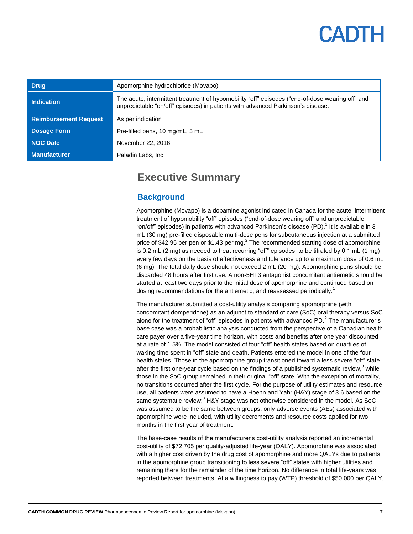<span id="page-6-1"></span><span id="page-6-0"></span>

| <b>Drug</b>                  | Apomorphine hydrochloride (Movapo)                                                                                                                                                 |
|------------------------------|------------------------------------------------------------------------------------------------------------------------------------------------------------------------------------|
| <b>Indication</b>            | The acute, intermittent treatment of hypomobility "off" episodes ("end-of-dose wearing off" and<br>unpredictable "on/off" episodes) in patients with advanced Parkinson's disease. |
| <b>Reimbursement Request</b> | As per indication                                                                                                                                                                  |
| <b>Dosage Form</b>           | Pre-filled pens, 10 mg/mL, 3 mL                                                                                                                                                    |
| <b>NOC Date</b>              | November 22, 2016                                                                                                                                                                  |
| <b>Manufacturer</b>          | Paladin Labs, Inc.                                                                                                                                                                 |

### **Executive Summary**

### **Background**

Apomorphine (Movapo) is a dopamine agonist indicated in Canada for the acute, intermittent treatment of hypomobility "off" episodes ("end-of-dose wearing off" and unpredictable "on/off" episodes) in patients with advanced Parkinson's disease (PD).<sup>1</sup> It is available in 3 mL (30 mg) pre-filled disposable multi-dose pens for subcutaneous injection at a submitted price of \$42.95 per pen or \$1.43 per mg. $^2$  The recommended starting dose of apomorphine is 0.2 mL (2 mg) as needed to treat recurring "off" episodes, to be titrated by 0.1 mL (1 mg) every few days on the basis of effectiveness and tolerance up to a maximum dose of 0.6 mL (6 mg). The total daily dose should not exceed 2 mL (20 mg). Apomorphine pens should be discarded 48 hours after first use. A non-5HT3 antagonist concomitant antiemetic should be started at least two days prior to the initial dose of apomorphine and continued based on dosing recommendations for the antiemetic, and reassessed periodically.<sup>1</sup>

The manufacturer submitted a cost-utility analysis comparing apomorphine (with concomitant domperidone) as an adjunct to standard of care (SoC) oral therapy versus SoC alone for the treatment of "off" episodes in patients with advanced PD. $^2$  The manufacturer's base case was a probabilistic analysis conducted from the perspective of a Canadian health care payer over a five-year time horizon, with costs and benefits after one year discounted at a rate of 1.5%. The model consisted of four "off" health states based on quartiles of waking time spent in "off" state and death. Patients entered the model in one of the four health states. Those in the apomorphine group transitioned toward a less severe "off" state after the first one-year cycle based on the findings of a published systematic review,<sup>3</sup> while those in the SoC group remained in their original "off" state. With the exception of mortality, no transitions occurred after the first cycle. For the purpose of utility estimates and resource use, all patients were assumed to have a Hoehn and Yahr (H&Y) stage of 3.6 based on the same systematic review;<sup>3</sup> H&Y stage was not otherwise considered in the model. As SoC was assumed to be the same between groups, only adverse events (AEs) associated with apomorphine were included, with utility decrements and resource costs applied for two months in the first year of treatment.

The base-case results of the manufacturer's cost-utility analysis reported an incremental cost-utility of \$72,705 per quality-adjusted life-year (QALY). Apomorphine was associated with a higher cost driven by the drug cost of apomorphine and more QALYs due to patients in the apomorphine group transitioning to less severe "off" states with higher utilities and remaining there for the remainder of the time horizon. No difference in total life-years was reported between treatments. At a willingness to pay (WTP) threshold of \$50,000 per QALY,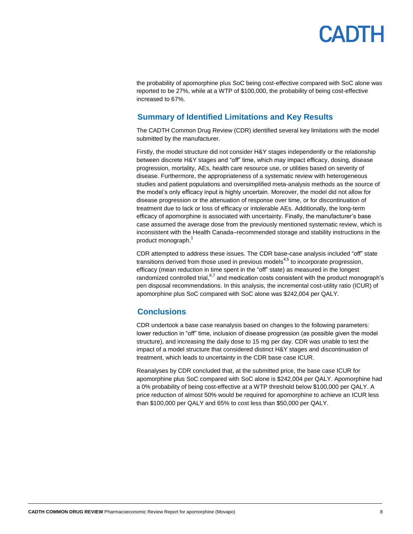## **ANTH**

the probability of apomorphine plus SoC being cost-effective compared with SoC alone was reported to be 27%, while at a WTP of \$100,000, the probability of being cost-effective increased to 67%.

### <span id="page-7-0"></span>**Summary of Identified Limitations and Key Results**

The CADTH Common Drug Review (CDR) identified several key limitations with the model submitted by the manufacturer.

Firstly, the model structure did not consider H&Y stages independently or the relationship between discrete H&Y stages and "off" time, which may impact efficacy, dosing, disease progression, mortality, AEs, health care resource use, or utilities based on severity of disease. Furthermore, the appropriateness of a systematic review with heterogeneous studies and patient populations and oversimplified meta-analysis methods as the source of the model's only efficacy input is highly uncertain. Moreover, the model did not allow for disease progression or the attenuation of response over time, or for discontinuation of treatment due to lack or loss of efficacy or intolerable AEs. Additionally, the long-term efficacy of apomorphine is associated with uncertainty. Finally, the manufacturer's base case assumed the average dose from the previously mentioned systematic review, which is inconsistent with the Health Canada–recommended storage and stability instructions in the product monograph.<sup>1</sup>

CDR attempted to address these issues. The CDR base-case analysis included "off" state transitions derived from those used in previous models $4.5$  to incorporate progression, efficacy (mean reduction in time spent in the "off" state) as measured in the longest randomized controlled trial, <sup>6,7</sup> and medication costs consistent with the product monograph's pen disposal recommendations. In this analysis, the incremental cost-utility ratio (ICUR) of apomorphine plus SoC compared with SoC alone was \$242,004 per QALY.

### <span id="page-7-1"></span>**Conclusions**

CDR undertook a base case reanalysis based on changes to the following parameters: lower reduction in "off" time, inclusion of disease progression (as possible given the model structure), and increasing the daily dose to 15 mg per day. CDR was unable to test the impact of a model structure that considered distinct H&Y stages and discontinuation of treatment, which leads to uncertainty in the CDR base case ICUR.

Reanalyses by CDR concluded that, at the submitted price, the base case ICUR for apomorphine plus SoC compared with SoC alone is \$242,004 per QALY. Apomorphine had a 0% probability of being cost-effective at a WTP threshold below \$100,000 per QALY. A price reduction of almost 50% would be required for apomorphine to achieve an ICUR less than \$100,000 per QALY and 65% to cost less than \$50,000 per QALY.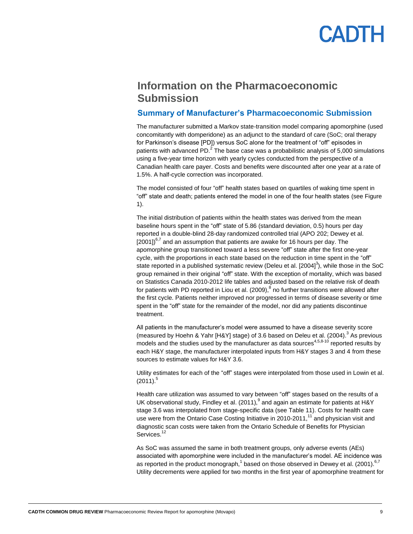## **ANTL**

### <span id="page-8-0"></span>**Information on the Pharmacoeconomic Submission**

#### <span id="page-8-1"></span>**Summary of Manufacturer's Pharmacoeconomic Submission**

The manufacturer submitted a Markov state-transition model comparing apomorphine (used concomitantly with domperidone) as an adjunct to the standard of care (SoC; oral therapy for Parkinson's disease [PD]) versus SoC alone for the treatment of "off" episodes in patients with advanced PD.<sup>2</sup> The base case was a probabilistic analysis of 5,000 simulations using a five-year time horizon with yearly cycles conducted from the perspective of a Canadian health care payer. Costs and benefits were discounted after one year at a rate of 1.5%. A half-cycle correction was incorporated.

The model consisted of four "off" health states based on quartiles of waking time spent in "off" state and death; patients entered the model in one of the four health states (se[e Figure](#page-17-1)  [1\)](#page-17-1).

The initial distribution of patients within the health states was derived from the mean baseline hours spent in the "off" state of 5.86 (standard deviation, 0.5) hours per day reported in a double-blind 28-day randomized controlled trial (APO 202; Dewey et al.  $[2001]$ <sup>6,7</sup> and an assumption that patients are awake for 16 hours per day. The apomorphine group transitioned toward a less severe "off" state after the first one-year cycle, with the proportions in each state based on the reduction in time spent in the "off" state reported in a published systematic review (Deleu et al. [2004]<sup>3</sup>), while those in the SoC group remained in their original "off" state. With the exception of mortality, which was based on Statistics Canada 2010-2012 life tables and adjusted based on the relative risk of death for patients with PD reported in Liou et al. (2009),<sup>8</sup> no further transitions were allowed after the first cycle. Patients neither improved nor progressed in terms of disease severity or time spent in the "off" state for the remainder of the model, nor did any patients discontinue treatment.

All patients in the manufacturer's model were assumed to have a disease severity score (measured by Hoehn & Yahr [H&Y] stage) of 3.6 based on Deleu et al. (2004).<sup>3</sup> As previous models and the studies used by the manufacturer as data sources<sup>4,5,8-10</sup> reported results by each H&Y stage, the manufacturer interpolated inputs from H&Y stages 3 and 4 from these sources to estimate values for H&Y 3.6.

Utility estimates for each of the "off" stages were interpolated from those used in Lowin et al.  $(2011).$ <sup>5</sup>

Health care utilization was assumed to vary between "off" stages based on the results of a UK observational study, Findley et al. (2011),  $^9$  and again an estimate for patients at H&Y stage 3.6 was interpolated from stage-specific data (see [Table 11\)](#page-19-1). Costs for health care use were from the Ontario Case Costing Initiative in 2010-2011,<sup>11</sup> and physician visit and diagnostic scan costs were taken from the Ontario Schedule of Benefits for Physician Services.<sup>12</sup>

As SoC was assumed the same in both treatment groups, only adverse events (AEs) associated with apomorphine were included in the manufacturer's model. AE incidence was as reported in the product monograph,<sup>1</sup> based on those observed in Dewey et al. (2001).  $6.7$ Utility decrements were applied for two months in the first year of apomorphine treatment for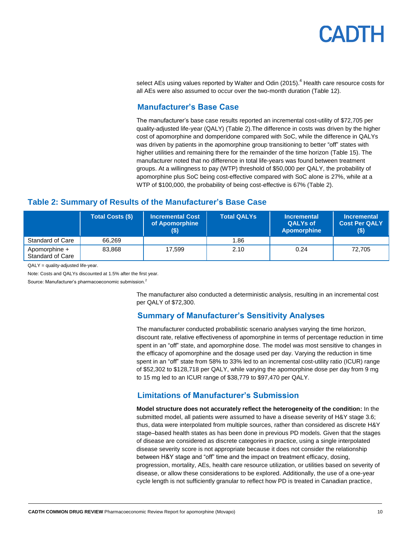select AEs using values reported by Walter and Odin (2015). $<sup>4</sup>$  Health care resource costs for</sup> all AEs were also assumed to occur over the two-month duration [\(Table 12\)](#page-20-0).

### **Manufacturer's Base Case**

The manufacturer's base case results reported an incremental cost-utility of \$72,705 per quality-adjusted life-year (QALY) [\(Table 2\)](#page-9-3).The difference in costs was driven by the higher cost of apomorphine and domperidone compared with SoC, while the difference in QALYs was driven by patients in the apomorphine group transitioning to better "off" states with higher utilities and remaining there for the remainder of the time horizon [\(Table 15\)](#page-24-0). The manufacturer noted that no difference in total life-years was found between treatment groups. At a willingness to pay (WTP) threshold of \$50,000 per QALY, the probability of apomorphine plus SoC being cost-effective compared with SoC alone is 27%, while at a WTP of \$100,000, the probability of being cost-effective is 67% [\(Table 2\)](#page-9-3).

### <span id="page-9-3"></span><span id="page-9-0"></span>**Table 2: Summary of Results of the Manufacturer's Base Case**

|                                   | <b>Total Costs (\$)</b> | <b>∣Incremental Cost</b> ∶<br>of Apomorphine | <b>Total QALYs</b> | <b>Incremental</b><br><b>QALYs of</b><br><b>Apomorphine</b> | <b>Incremental</b><br><b>Cost Per QALY</b><br>(\$) |
|-----------------------------------|-------------------------|----------------------------------------------|--------------------|-------------------------------------------------------------|----------------------------------------------------|
| Standard of Care                  | 66.269                  |                                              | 1.86               |                                                             |                                                    |
| Apomorphine +<br>Standard of Care | 83.868                  | 17.599                                       | 2.10               | 0.24                                                        | 72.705                                             |

QALY = quality-adjusted life-year.

Note: Costs and QALYs discounted at 1.5% after the first year.

<span id="page-9-2"></span><span id="page-9-1"></span>Source: Manufacturer's pharmacoeconomic submission.<sup>2</sup>

The manufacturer also conducted a deterministic analysis, resulting in an incremental cost per QALY of \$72,300.

### **Summary of Manufacturer's Sensitivity Analyses**

The manufacturer conducted probabilistic scenario analyses varying the time horizon, discount rate, relative effectiveness of apomorphine in terms of percentage reduction in time spent in an "off" state, and apomorphine dose. The model was most sensitive to changes in the efficacy of apomorphine and the dosage used per day. Varying the reduction in time spent in an "off" state from 58% to 33% led to an incremental cost-utility ratio (ICUR) range of \$52,302 to \$128,718 per QALY, while varying the apomorphine dose per day from 9 mg to 15 mg led to an ICUR range of \$38,779 to \$97,470 per QALY.

### **Limitations of Manufacturer's Submission**

**Model structure does not accurately reflect the heterogeneity of the condition:** In the submitted model, all patients were assumed to have a disease severity of H&Y stage 3.6; thus, data were interpolated from multiple sources, rather than considered as discrete H&Y stage–based health states as has been done in previous PD models. Given that the stages of disease are considered as discrete categories in practice, using a single interpolated disease severity score is not appropriate because it does not consider the relationship between H&Y stage and "off" time and the impact on treatment efficacy, dosing, progression, mortality, AEs, health care resource utilization, or utilities based on severity of disease, or allow these considerations to be explored. Additionally, the use of a one-year cycle length is not sufficiently granular to reflect how PD is treated in Canadian practice,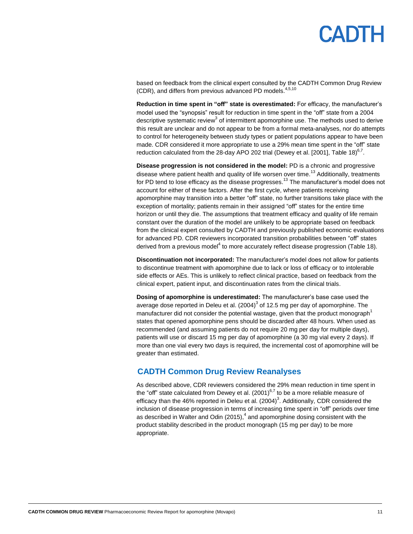## PADTH

based on feedback from the clinical expert consulted by the CADTH Common Drug Review (CDR), and differs from previous advanced PD models.<sup>4,5,10</sup>

**Reduction in time spent in "off" state is overestimated:** For efficacy, the manufacturer's model used the "synopsis" result for reduction in time spent in the "off" state from a 2004 descriptive systematic review<sup>3</sup> of intermittent apomorphine use. The methods used to derive this result are unclear and do not appear to be from a formal meta-analyses, nor do attempts to control for heterogeneity between study types or patient populations appear to have been made. CDR considered it more appropriate to use a 29% mean time spent in the "off" state reduction calculated from the 28-day APO 202 trial (Dewey et al. [2001][, Table 18\)](#page-27-0) $^{6,7}$ .

**Disease progression is not considered in the model:** PD is a chronic and progressive disease where patient health and quality of life worsen over time.<sup>13</sup> Additionally, treatments for PD tend to lose efficacy as the disease progresses.<sup>13</sup> The manufacturer's model does not account for either of these factors. After the first cycle, where patients receiving apomorphine may transition into a better "off" state, no further transitions take place with the exception of mortality; patients remain in their assigned "off" states for the entire time horizon or until they die. The assumptions that treatment efficacy and quality of life remain constant over the duration of the model are unlikely to be appropriate based on feedback from the clinical expert consulted by CADTH and previously published economic evaluations for advanced PD. CDR reviewers incorporated transition probabilities between "off" states derived from a previous model<sup>4</sup> to more accurately reflect disease progression [\(Table 18\)](#page-27-0).

**Discontinuation not incorporated:** The manufacturer's model does not allow for patients to discontinue treatment with apomorphine due to lack or loss of efficacy or to intolerable side effects or AEs. This is unlikely to reflect clinical practice, based on feedback from the clinical expert, patient input, and discontinuation rates from the clinical trials.

**Dosing of apomorphine is underestimated:** The manufacturer's base case used the average dose reported in Deleu et al.  $(2004)^3$  of 12.5 mg per day of apomorphine. The manufacturer did not consider the potential wastage, given that the product monograph<sup>1</sup> states that opened apomorphine pens should be discarded after 48 hours. When used as recommended (and assuming patients do not require 20 mg per day for multiple days), patients will use or discard 15 mg per day of apomorphine (a 30 mg vial every 2 days). If more than one vial every two days is required, the incremental cost of apomorphine will be greater than estimated.

#### <span id="page-10-0"></span>**CADTH Common Drug Review Reanalyses**

As described above, CDR reviewers considered the 29% mean reduction in time spent in the "off" state calculated from Dewey et al. (2001) $6.7$  to be a more reliable measure of efficacy than the 46% reported in Deleu et al.  $(2004)^3$ . Additionally, CDR considered the inclusion of disease progression in terms of increasing time spent in "off" periods over time as described in Walter and Odin  $(2015)$ ,  $4$  and apomorphine dosing consistent with the product stability described in the product monograph (15 mg per day) to be more appropriate.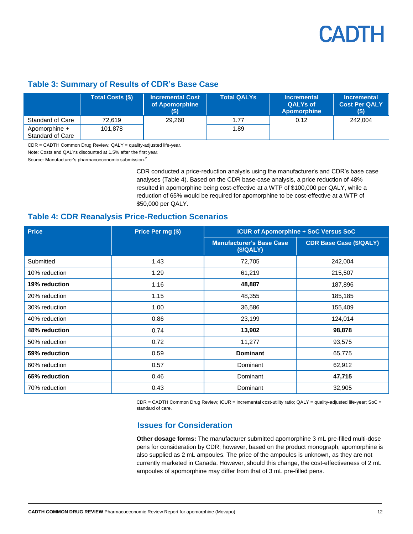### <span id="page-11-1"></span>**Table 3: Summary of Results of CDR's Base Case**

|                                   | <b>Total Costs (\$)</b> | <b>Incremental Cost</b><br>of Apomorphine<br>$($ \$) | Total QALYs | <b>Incremental</b><br><b>QALYs of</b><br>Apomorphine | <b>Incremental</b><br><b>Cost Per QALY</b><br>$($ \$) |
|-----------------------------------|-------------------------|------------------------------------------------------|-------------|------------------------------------------------------|-------------------------------------------------------|
| Standard of Care                  | 72.619                  | 29.260                                               | 1.77        | 0.12                                                 | 242.004                                               |
| Apomorphine +<br>Standard of Care | 101.878                 |                                                      | 1.89        |                                                      |                                                       |

CDR = CADTH Common Drug Review; QALY = quality-adjusted life-year.

Note: Costs and QALYs discounted at 1.5% after the first year.

Source: Manufacturer's pharmacoeconomic submission.<sup>2</sup>

CDR conducted a price-reduction analysis using the manufacturer's and CDR's base case analyses [\(Table 4\)](#page-11-2). Based on the CDR base-case analysis, a price reduction of 48% resulted in apomorphine being cost-effective at a WTP of \$100,000 per QALY, while a reduction of 65% would be required for apomorphine to be cost-effective at a WTP of \$50,000 per QALY.

#### <span id="page-11-2"></span>**Table 4: CDR Reanalysis Price-Reduction Scenarios**

| <b>Price</b>  | Price Per mg (\$) | <b>ICUR of Apomorphine + SoC Versus SoC</b> |                                |  |
|---------------|-------------------|---------------------------------------------|--------------------------------|--|
|               |                   | <b>Manufacturer's Base Case</b><br>(S/QALY) | <b>CDR Base Case (\$/QALY)</b> |  |
| Submitted     | 1.43              | 72,705                                      | 242,004                        |  |
| 10% reduction | 1.29              | 61,219                                      | 215,507                        |  |
| 19% reduction | 1.16              | 48,887                                      | 187,896                        |  |
| 20% reduction | 1.15              | 48,355                                      | 185,185                        |  |
| 30% reduction | 1.00              | 36,586                                      | 155,409                        |  |
| 40% reduction | 0.86              | 23,199                                      | 124,014                        |  |
| 48% reduction | 0.74              | 13,902                                      | 98,878                         |  |
| 50% reduction | 0.72              | 11,277                                      | 93,575                         |  |
| 59% reduction | 0.59              | <b>Dominant</b>                             | 65,775                         |  |
| 60% reduction | 0.57              | Dominant                                    | 62,912                         |  |
| 65% reduction | 0.46              | Dominant                                    | 47,715                         |  |
| 70% reduction | 0.43              | Dominant                                    | 32,905                         |  |

<span id="page-11-0"></span>CDR = CADTH Common Drug Review; ICUR = incremental cost-utility ratio; QALY = quality-adjusted life-year; SoC = standard of care.

### **Issues for Consideration**

**Other dosage forms:** The manufacturer submitted apomorphine 3 mL pre-filled multi-dose pens for consideration by CDR; however, based on the product monograph, apomorphine is also supplied as 2 mL ampoules. The price of the ampoules is unknown, as they are not currently marketed in Canada. However, should this change, the cost-effectiveness of 2 mL ampoules of apomorphine may differ from that of 3 mL pre-filled pens.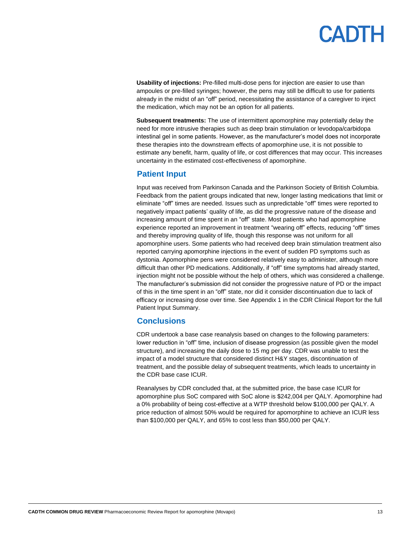**Usability of injections:** Pre-filled multi-dose pens for injection are easier to use than ampoules or pre-filled syringes; however, the pens may still be difficult to use for patients already in the midst of an "off" period, necessitating the assistance of a caregiver to inject the medication, which may not be an option for all patients.

**Subsequent treatments:** The use of intermittent apomorphine may potentially delay the need for more intrusive therapies such as deep brain stimulation or levodopa/carbidopa intestinal gel in some patients. However, as the manufacturer's model does not incorporate these therapies into the downstream effects of apomorphine use, it is not possible to estimate any benefit, harm, quality of life, or cost differences that may occur. This increases uncertainty in the estimated cost-effectiveness of apomorphine.

#### **Patient Input**

Input was received from Parkinson Canada and the Parkinson Society of British Columbia. Feedback from the patient groups indicated that new, longer lasting medications that limit or eliminate "off" times are needed. Issues such as unpredictable "off" times were reported to negatively impact patients' quality of life, as did the progressive nature of the disease and increasing amount of time spent in an "off" state. Most patients who had apomorphine experience reported an improvement in treatment "wearing off" effects, reducing "off" times and thereby improving quality of life, though this response was not uniform for all apomorphine users. Some patients who had received deep brain stimulation treatment also reported carrying apomorphine injections in the event of sudden PD symptoms such as dystonia. Apomorphine pens were considered relatively easy to administer, although more difficult than other PD medications. Additionally, if "off" time symptoms had already started, injection might not be possible without the help of others, which was considered a challenge. The manufacturer's submission did not consider the progressive nature of PD or the impact of this in the time spent in an "off" state, nor did it consider discontinuation due to lack of efficacy or increasing dose over time. See Appendix 1 in the CDR Clinical Report for the full Patient Input Summary.

### **Conclusions**

CDR undertook a base case reanalysis based on changes to the following parameters: lower reduction in "off" time, inclusion of disease progression (as possible given the model structure), and increasing the daily dose to 15 mg per day. CDR was unable to test the impact of a model structure that considered distinct H&Y stages, discontinuation of treatment, and the possible delay of subsequent treatments, which leads to uncertainty in the CDR base case ICUR.

Reanalyses by CDR concluded that, at the submitted price, the base case ICUR for apomorphine plus SoC compared with SoC alone is \$242,004 per QALY. Apomorphine had a 0% probability of being cost-effective at a WTP threshold below \$100,000 per QALY. A price reduction of almost 50% would be required for apomorphine to achieve an ICUR less than \$100,000 per QALY, and 65% to cost less than \$50,000 per QALY.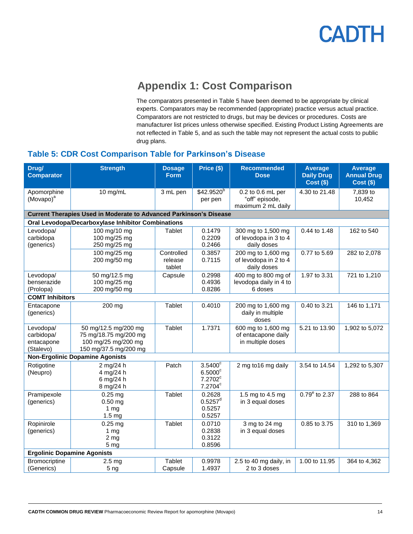

## **Appendix 1: Cost Comparison**

The comparators presented in Table 5 have been deemed to be appropriate by clinical experts. Comparators may be recommended (appropriate) practice versus actual practice. Comparators are not restricted to drugs, but may be devices or procedures. Costs are manufacturer list prices unless otherwise specified. Existing Product Listing Agreements are not reflected in Table 5, and as such the table may not represent the actual costs to public drug plans.

### <span id="page-13-1"></span><span id="page-13-0"></span>**Table 5: CDR Cost Comparison Table for Parkinson's Disease**

| Drug/<br><b>Comparator</b>                         | <b>Strength</b>                                                                               | <b>Dosage</b><br><b>Form</b>    | Price (\$)                                                                     | <b>Recommended</b><br><b>Dose</b>                              | <b>Average</b><br><b>Daily Drug</b><br><b>Cost (\$)</b> | <b>Average</b><br><b>Annual Drug</b><br><b>Cost (\$)</b> |
|----------------------------------------------------|-----------------------------------------------------------------------------------------------|---------------------------------|--------------------------------------------------------------------------------|----------------------------------------------------------------|---------------------------------------------------------|----------------------------------------------------------|
| Apomorphine<br>(Movapo) <sup>a</sup>               | 10 mg/mL                                                                                      | 3 mL pen                        | \$42.9520 <sup>b</sup><br>per pen                                              | 0.2 to 0.6 mL per<br>"off" episode,<br>maximum 2 mL daily      | 4.30 to 21.48                                           | 7,839 to<br>10,452                                       |
|                                                    | <b>Current Therapies Used in Moderate to Advanced Parkinson's Disease</b>                     |                                 |                                                                                |                                                                |                                                         |                                                          |
|                                                    | Oral Levodopa/Decarboxylase Inhibitor Combinations                                            |                                 |                                                                                |                                                                |                                                         |                                                          |
| Levodopa/<br>carbidopa<br>(generics)               | 100 mg/10 mg<br>100 mg/25 mg<br>250 mg/25 mg                                                  | <b>Tablet</b>                   | 0.1479<br>0.2209<br>0.2466                                                     | 300 mg to 1,500 mg<br>of levodopa in 3 to 4<br>daily doses     | 0.44 to 1.48                                            | 162 to 540                                               |
|                                                    | 100 mg/25 mg<br>200 mg/50 mg                                                                  | Controlled<br>release<br>tablet | 0.3857<br>0.7115                                                               | 200 mg to 1,600 mg<br>of levodopa in 2 to 4<br>daily doses     | 0.77 to 5.69                                            | 282 to 2,078                                             |
| Levodopa/<br>benserazide<br>(Prolopa)              | 50 mg/12.5 mg<br>100 mg/25 mg<br>200 mg/50 mg                                                 | Capsule                         | 0.2998<br>0.4936<br>0.8286                                                     | 400 mg to 800 mg of<br>levodopa daily in 4 to<br>6 doses       | 1.97 to 3.31                                            | 721 to 1,210                                             |
| <b>COMT Inhibitors</b>                             |                                                                                               |                                 |                                                                                |                                                                |                                                         |                                                          |
| Entacapone<br>(generics)                           | 200 mg                                                                                        | <b>Tablet</b>                   | 0.4010                                                                         | 200 mg to 1,600 mg<br>daily in multiple<br>doses               | 0.40 to 3.21                                            | 146 to 1,171                                             |
| Levodopa/<br>carbidopa/<br>entacapone<br>(Stalevo) | 50 mg/12.5 mg/200 mg<br>75 mg/18.75 mg/200 mg<br>100 mg/25 mg/200 mg<br>150 mg/37.5 mg/200 mg | <b>Tablet</b>                   | 1.7371                                                                         | 600 mg to 1,600 mg<br>of entacapone daily<br>in multiple doses | 5.21 to 13.90                                           | 1,902 to 5,072                                           |
|                                                    | <b>Non-Ergolinic Dopamine Agonists</b>                                                        |                                 |                                                                                |                                                                |                                                         |                                                          |
| Rotigotine<br>(Neupro)                             | 2 mg/24 h<br>4 mg/24 h<br>6 mg/24 h<br>8 mg/24 h                                              | Patch                           | $3.5400^{\circ}$<br>$6.5000$ <sup>c</sup><br>$7.2702^c$<br>7.2704 <sup>c</sup> | 2 mg to 16 mg daily                                            | 3.54 to 14.54                                           | 1,292 to 5,307                                           |
| Pramipexole<br>(generics)                          | $0.25$ mg<br>$0.50$ mg<br>1 <sub>mg</sub><br>1.5 <sub>mg</sub>                                | <b>Tablet</b>                   | 0.2628<br>$0.5257^d$<br>0.5257<br>0.5257                                       | 1.5 mg to 4.5 mg<br>in 3 equal doses                           | $0.79^{\circ}$ to 2.37                                  | 288 to 864                                               |
| Ropinirole<br>(generics)                           | $0.25$ mg<br>1 $mg$<br>2 <sub>mg</sub><br>5 <sub>mg</sub>                                     | <b>Tablet</b>                   | 0.0710<br>0.2838<br>0.3122<br>0.8596                                           | 3 mg to 24 mg<br>in 3 equal doses                              | 0.85 to 3.75                                            | 310 to 1,369                                             |
| <b>Ergolinic Dopamine Agonists</b>                 |                                                                                               |                                 |                                                                                |                                                                |                                                         |                                                          |
| Bromocriptine<br>(Generics)                        | 2.5 <sub>mg</sub><br>5 <sub>ng</sub>                                                          | <b>Tablet</b><br>Capsule        | 0.9978<br>1.4937                                                               | 2.5 to 40 mg daily, in<br>2 to 3 doses                         | 1.00 to 11.95                                           | 364 to 4,362                                             |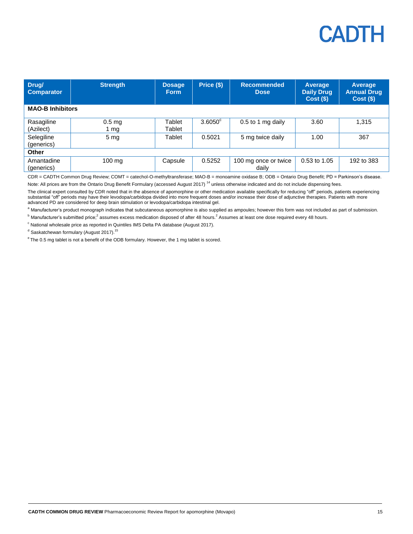| Drug/<br><b>Comparator</b> | <b>Strength</b>  | <b>Dosage</b><br><b>Form</b> | Price (\$)       | <b>Recommended</b><br><b>Dose</b> | Average<br><b>Daily Drug</b><br>$Cost($ \$) | Average<br><b>Annual Drug</b><br>$Cost($ \$) |
|----------------------------|------------------|------------------------------|------------------|-----------------------------------|---------------------------------------------|----------------------------------------------|
| <b>MAO-B Inhibitors</b>    |                  |                              |                  |                                   |                                             |                                              |
| Rasagiline<br>(Azilect)    | $0.5$ mg<br>1 mg | Tablet<br>Tablet             | $3.6050^{\circ}$ | 0.5 to 1 mg daily                 | 3.60                                        | 1,315                                        |
| Selegiline<br>(generics)   | 5 <sub>mg</sub>  | Tablet                       | 0.5021           | 5 mg twice daily                  | 1.00                                        | 367                                          |
| <b>Other</b>               |                  |                              |                  |                                   |                                             |                                              |
| Amantadine<br>(generics)   | $100 \text{ mg}$ | Capsule                      | 0.5252           | 100 mg once or twice<br>daily     | 0.53 to 1.05                                | 192 to 383                                   |

CDR = CADTH Common Drug Review; COMT = catechol-O-methyltransferase; MAO-B = monoamine oxidase B; ODB = Ontario Drug Benefit; PD = Parkinson's disease. Note: All prices are from the Ontario Drug Benefit Formulary (accessed August 2017)<sup>14</sup> unless otherwise indicated and do not include dispensing fees.

The clinical expert consulted by CDR noted that in the absence of apomorphine or other medication available specifically for reducing "off" periods, patients experiencing substantial "off" periods may have their levodopa/carbidopa divided into more frequent doses and/or increase their dose of adjunctive therapies. Patients with more advanced PD are considered for deep brain stimulation or levodopa/carbidopa intestinal gel.

a Manufacturer's product monograph indicates that subcutaneous apomorphine is also supplied as ampoules; however this form was not included as part of submission.

 $^{\rm b}$  Manufacturer's submitted price;<sup>2</sup> assumes excess medication disposed of after 48 hours.<sup>2</sup> Assumes at least one dose required every 48 hours.

 $c$  National wholesale price as reported in Quintiles IMS Delta PA database (August 2017).

<sup>d</sup> Saskatchewan formulary (August 2017).<sup>15</sup>

<sup>e</sup> The 0.5 mg tablet is not a benefit of the ODB formulary. However, the 1 mg tablet is scored.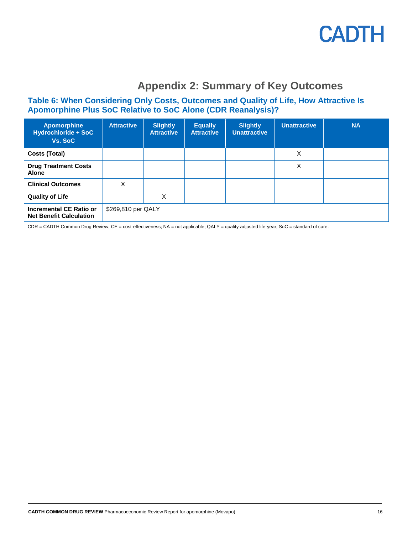

## **Appendix 2: Summary of Key Outcomes**

### <span id="page-15-1"></span><span id="page-15-0"></span>**Table 6: When Considering Only Costs, Outcomes and Quality of Life, How Attractive Is Apomorphine Plus SoC Relative to SoC Alone (CDR Reanalysis)?**

| <b>Apomorphine</b><br><b>Hydrochloride + SoC</b><br>Vs. SoC | <b>Attractive</b>  | <b>Slightly</b><br><b>Attractive</b> | <b>Equally</b><br><b>Attractive</b> | <b>Slightly</b><br><b>Unattractive</b> | <b>Unattractive</b> | <b>NA</b> |
|-------------------------------------------------------------|--------------------|--------------------------------------|-------------------------------------|----------------------------------------|---------------------|-----------|
| Costs (Total)                                               |                    |                                      |                                     |                                        | X                   |           |
| <b>Drug Treatment Costs</b><br><b>Alone</b>                 |                    |                                      |                                     |                                        | X                   |           |
| <b>Clinical Outcomes</b>                                    | X                  |                                      |                                     |                                        |                     |           |
| <b>Quality of Life</b>                                      |                    | X                                    |                                     |                                        |                     |           |
| Incremental CE Ratio or<br><b>Net Benefit Calculation</b>   | \$269,810 per QALY |                                      |                                     |                                        |                     |           |

CDR = CADTH Common Drug Review; CE = cost-effectiveness; NA = not applicable; QALY = quality-adjusted life-year; SoC = standard of care.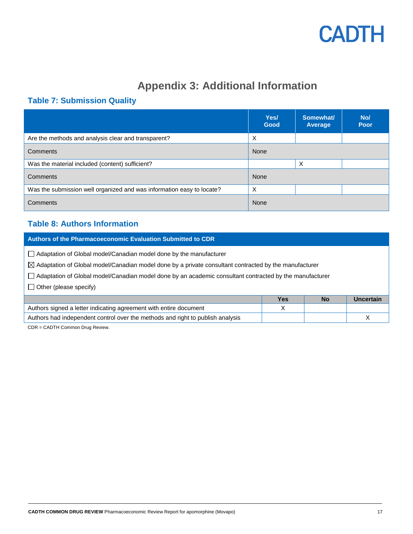## **Appendix 3: Additional Information**

### <span id="page-16-1"></span><span id="page-16-0"></span>**Table 7: Submission Quality**

|                                                                       | Yes/<br>Good | Somewhat/<br>Average | No/<br>Poor |
|-----------------------------------------------------------------------|--------------|----------------------|-------------|
| Are the methods and analysis clear and transparent?                   | X            |                      |             |
| Comments                                                              | None         |                      |             |
| Was the material included (content) sufficient?                       |              | X                    |             |
| Comments                                                              | None         |                      |             |
| Was the submission well organized and was information easy to locate? | X            |                      |             |
| <b>Comments</b>                                                       | None         |                      |             |

### <span id="page-16-2"></span>**Table 8: Authors Information**

**Authors of the Pharmacoeconomic Evaluation Submitted to CDR**

Adaptation of Global model/Canadian model done by the manufacturer

 $\boxtimes$  Adaptation of Global model/Canadian model done by a private consultant contracted by the manufacturer

Adaptation of Global model/Canadian model done by an academic consultant contracted by the manufacturer

 $\Box$  Other (please specify)

|                                                                                | Yes | No | Uncertain |
|--------------------------------------------------------------------------------|-----|----|-----------|
| Authors signed a letter indicating agreement with entire document              |     |    |           |
| Authors had independent control over the methods and right to publish analysis |     |    |           |
|                                                                                |     |    |           |

CDR = CADTH Common Drug Review.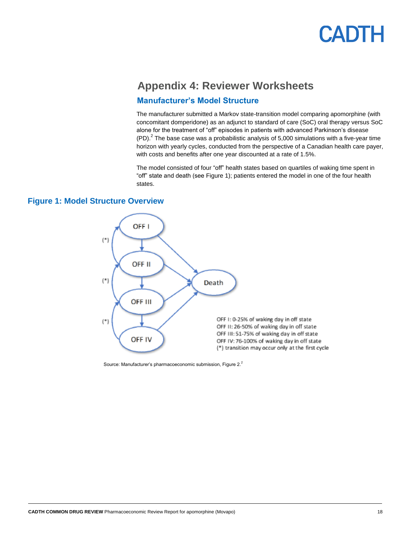## <span id="page-17-0"></span>**Appendix 4: Reviewer Worksheets**

#### **Manufacturer's Model Structure**

The manufacturer submitted a Markov state-transition model comparing apomorphine (with concomitant domperidone) as an adjunct to standard of care (SoC) oral therapy versus SoC alone for the treatment of "off" episodes in patients with advanced Parkinson's disease  $(PD)<sup>2</sup>$  The base case was a probabilistic analysis of 5,000 simulations with a five-year time horizon with yearly cycles, conducted from the perspective of a Canadian health care payer, with costs and benefits after one year discounted at a rate of 1.5%.

The model consisted of four "off" health states based on quartiles of waking time spent in "off" state and death (se[e Figure 1\)](#page-17-1); patients entered the model in one of the four health states.



<span id="page-17-1"></span>**Figure 1: Model Structure Overview**

Source: Manufacturer's pharmacoeconomic submission, Figure 2.<sup>2</sup>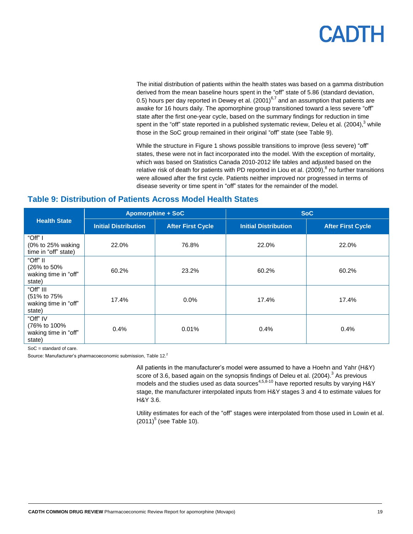The initial distribution of patients within the health states was based on a gamma distribution derived from the mean baseline hours spent in the "off" state of 5.86 (standard deviation, 0.5) hours per day reported in Dewey et al. (2001)<sup>6,7</sup> and an assumption that patients are awake for 16 hours daily. The apomorphine group transitioned toward a less severe "off" state after the first one-year cycle, based on the summary findings for reduction in time spent in the "off" state reported in a published systematic review, Deleu et al. (2004), $3$  while those in the SoC group remained in their original "off" state (se[e Table 9\)](#page-18-0).

While the structure in [Figure 1](#page-17-1) shows possible transitions to improve (less severe) "off" states, these were not in fact incorporated into the model. With the exception of mortality, which was based on Statistics Canada 2010-2012 life tables and adjusted based on the relative risk of death for patients with PD reported in Liou et al. (2009),  $8$  no further transitions were allowed after the first cycle. Patients neither improved nor progressed in terms of disease severity or time spent in "off" states for the remainder of the model.

|                                                            | <b>Apomorphine + SoC</b>    |                          | <b>SoC</b>                  |                          |  |
|------------------------------------------------------------|-----------------------------|--------------------------|-----------------------------|--------------------------|--|
| <b>Health State</b>                                        | <b>Initial Distribution</b> | <b>After First Cycle</b> | <b>Initial Distribution</b> | <b>After First Cycle</b> |  |
| "Off" I<br>(0% to 25% waking<br>time in "off" state)       | 22.0%                       | 76.8%                    | 22.0%                       | 22.0%                    |  |
| "Off" II<br>(26% to 50%)<br>waking time in "off"<br>state) | 60.2%                       | 23.2%                    | 60.2%                       | 60.2%                    |  |
| "Off" III<br>(51% to 75%<br>waking time in "off"<br>state) | 17.4%                       | 0.0%                     | 17.4%                       | 17.4%                    |  |
| "Off" IV<br>(76% to 100%<br>waking time in "off"<br>state) | 0.4%                        | 0.01%                    | 0.4%                        | 0.4%                     |  |

#### <span id="page-18-0"></span>**Table 9: Distribution of Patients Across Model Health States**

SoC = standard of care.

Source: Manufacturer's pharmacoeconomic submission, Table 12.<sup>2</sup>

All patients in the manufacturer's model were assumed to have a Hoehn and Yahr (H&Y) score of 3.6, based again on the synopsis findings of Deleu et al. (2004).<sup>3</sup> As previous models and the studies used as data sources<sup>4,5,8-10</sup> have reported results by varying H&Y stage, the manufacturer interpolated inputs from H&Y stages 3 and 4 to estimate values for H&Y 3.6.

Utility estimates for each of the "off" stages were interpolated from those used in Lowin et al.  $(2011)^5$  (see [Table 10\)](#page-19-0).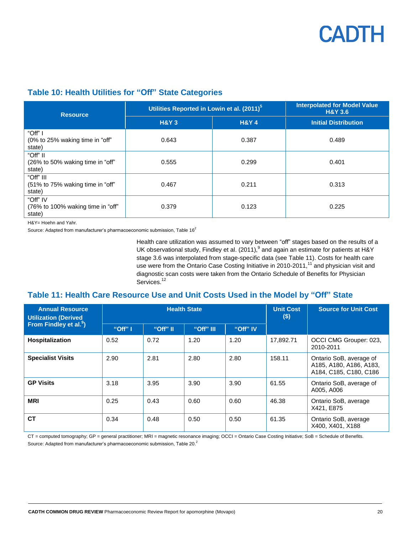

### <span id="page-19-0"></span>**Table 10: Health Utilities for "Off" State Categories**

| <b>Resource</b>                                         | Utilities Reported in Lowin et al. (2011) <sup>5</sup> | <b>Interpolated for Model Value</b><br><b>H&amp;Y 3.6</b> |                             |
|---------------------------------------------------------|--------------------------------------------------------|-----------------------------------------------------------|-----------------------------|
|                                                         | <b>H&amp;Y3</b>                                        | <b>H&amp;Y4</b>                                           | <b>Initial Distribution</b> |
| "Off" I<br>(0% to 25% waking time in "off"<br>state)    | 0.643                                                  | 0.387                                                     | 0.489                       |
| "Off" II<br>(26% to 50% waking time in "off"<br>state)  | 0.555                                                  | 0.299                                                     | 0.401                       |
| "Off" III<br>(51% to 75% waking time in "off"<br>state) | 0.467                                                  | 0.211                                                     | 0.313                       |
| "Off" IV<br>(76% to 100% waking time in "off"<br>state) | 0.379                                                  | 0.123                                                     | 0.225                       |

H&Y= Hoehn and Yahr.

Source: Adapted from manufacturer's pharmacoeconomic submission, Table 16<sup>2</sup>

Health care utilization was assumed to vary between "off" stages based on the results of a UK observational study, Findley et al. (2011),  $9$  and again an estimate for patients at H&Y stage 3.6 was interpolated from stage-specific data (see [Table 11\)](#page-19-1). Costs for health care use were from the Ontario Case Costing Initiative in 2010-2011,<sup>11</sup> and physician visit and diagnostic scan costs were taken from the Ontario Schedule of Benefits for Physician Services.<sup>12</sup>

### <span id="page-19-1"></span>**Table 11: Health Care Resource Use and Unit Costs Used in the Model by "Off" State**

| <b>Annual Resource</b><br><b>Utilization (Derived</b> | <b>Health State</b> |          |           |          | <b>Unit Cost</b><br>$($)$ | <b>Source for Unit Cost</b>                                                  |
|-------------------------------------------------------|---------------------|----------|-----------|----------|---------------------------|------------------------------------------------------------------------------|
| From Findley et al. <sup>9</sup> )                    | "Off" I             | "Off" II | "Off" III | "Off" IV |                           |                                                                              |
| Hospitalization                                       | 0.52                | 0.72     | 1.20      | 1.20     | 17,892.71                 | OCCI CMG Grouper: 023,<br>2010-2011                                          |
| <b>Specialist Visits</b>                              | 2.90                | 2.81     | 2.80      | 2.80     | 158.11                    | Ontario SoB, average of<br>A185, A180, A186, A183,<br>A184, C185, C180, C186 |
| <b>GP Visits</b>                                      | 3.18                | 3.95     | 3.90      | 3.90     | 61.55                     | Ontario SoB, average of<br>A005, A006                                        |
| <b>MRI</b>                                            | 0.25                | 0.43     | 0.60      | 0.60     | 46.38                     | Ontario SoB, average<br>X421, E875                                           |
| <b>CT</b>                                             | 0.34                | 0.48     | 0.50      | 0.50     | 61.35                     | Ontario SoB, average<br>X400, X401, X188                                     |

CT = computed tomography; GP = general practitioner; MRI = magnetic resonance imaging; OCCI = Ontario Case Costing Initiative; SoB = Schedule of Benefits. Source: Adapted from manufacturer's pharmacoeconomic submission, Table 20.<sup>2</sup>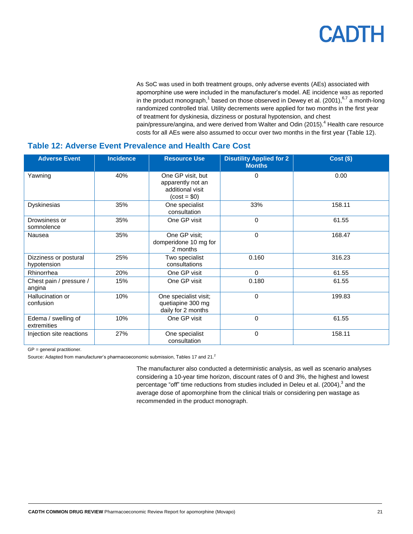As SoC was used in both treatment groups, only adverse events (AEs) associated with apomorphine use were included in the manufacturer's model. AE incidence was as reported in the product monograph,<sup>1</sup> based on those observed in Dewey et al. (2001),  $6,7$  a month-long randomized controlled trial. Utility decrements were applied for two months in the first year of treatment for dyskinesia, dizziness or postural hypotension, and chest pain/pressure/angina, and were derived from Walter and Odin (2015).<sup>4</sup> Health care resource costs for all AEs were also assumed to occur over two months in the first year [\(Table 12\)](#page-20-0).

### <span id="page-20-0"></span>**Table 12: Adverse Event Prevalence and Health Care Cost**

| <b>Adverse Event</b>                 | <b>Incidence</b> | <b>Resource Use</b>                                                         | <b>Disutility Applied for 2</b><br><b>Months</b> | <b>Cost (\$)</b> |
|--------------------------------------|------------------|-----------------------------------------------------------------------------|--------------------------------------------------|------------------|
| Yawning                              | 40%              | One GP visit, but<br>apparently not an<br>additional visit<br>$(cost = $0)$ | 0                                                | 0.00             |
| Dyskinesias                          | 35%              | One specialist<br>consultation                                              | 33%                                              | 158.11           |
| Drowsiness or<br>somnolence          | 35%              | One GP visit                                                                | $\mathbf{0}$                                     | 61.55            |
| Nausea                               | 35%              | One GP visit;<br>domperidone 10 mg for<br>2 months                          | $\Omega$                                         | 168.47           |
| Dizziness or postural<br>hypotension | 25%              | Two specialist<br>consultations                                             | 0.160                                            | 316.23           |
| Rhinorrhea                           | 20%              | One GP visit                                                                | $\Omega$                                         | 61.55            |
| Chest pain / pressure /<br>angina    | 15%              | One GP visit                                                                | 0.180                                            | 61.55            |
| Hallucination or<br>confusion        | 10%              | One specialist visit;<br>quetiapine 300 mg<br>daily for 2 months            | $\mathbf{0}$                                     | 199.83           |
| Edema / swelling of<br>extremities   | 10%              | One GP visit                                                                | $\mathbf{0}$                                     | 61.55            |
| Injection site reactions             | 27%              | One specialist<br>consultation                                              | 0                                                | 158.11           |

GP = general practitioner.

Source: Adapted from manufacturer's pharmacoeconomic submission, Tables 17 and 21.<sup>2</sup>

The manufacturer also conducted a deterministic analysis, as well as scenario analyses considering a 10-year time horizon, discount rates of 0 and 3%, the highest and lowest percentage "off" time reductions from studies included in Deleu et al. (2004),<sup>3</sup> and the average dose of apomorphine from the clinical trials or considering pen wastage as recommended in the product monograph.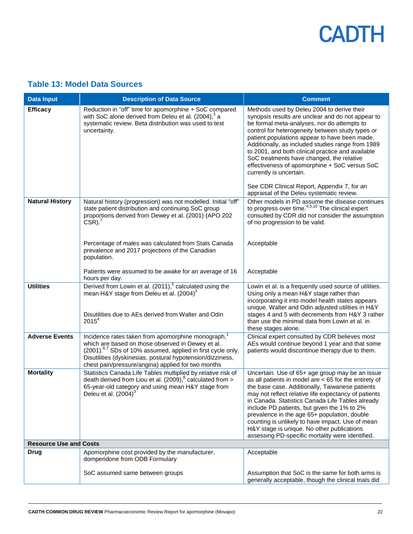### <span id="page-21-0"></span>**Table 13: Model Data Sources**

| <b>Data Input</b>             | <b>Description of Data Source</b>                                                                                                                                                                                                                                                                                  | <b>Comment</b>                                                                                                                                                                                                                                                                                                                                                                                                                                                                                                                        |
|-------------------------------|--------------------------------------------------------------------------------------------------------------------------------------------------------------------------------------------------------------------------------------------------------------------------------------------------------------------|---------------------------------------------------------------------------------------------------------------------------------------------------------------------------------------------------------------------------------------------------------------------------------------------------------------------------------------------------------------------------------------------------------------------------------------------------------------------------------------------------------------------------------------|
| <b>Efficacy</b>               | Reduction in "off" time for apomorphine + SoC compared<br>with SoC alone derived from Deleu et al. (2004), <sup>3</sup> a<br>systematic review. Beta distribution was used to test<br>uncertainty.                                                                                                                 | Methods used by Deleu 2004 to derive their<br>synopsis results are unclear and do not appear to<br>be formal meta-analyses, nor do attempts to<br>control for heterogeneity between study types or<br>patient populations appear to have been made.<br>Additionally, as included studies range from 1989<br>to 2001, and both clinical practice and available<br>SoC treatments have changed, the relative<br>effectiveness of apomorphine + SoC versus SoC<br>currently is uncertain.<br>See CDR Clinical Report, Appendix 7, for an |
| <b>Natural History</b>        | Natural history (progression) was not modelled. Initial "off"<br>state patient distribution and continuing SoC group<br>proportions derived from Dewey et al. (2001) (APO 202<br>$CSR$ ). <sup>7</sup><br>Percentage of males was calculated from Stats Canada                                                     | appraisal of the Deleu systematic review.<br>Other models in PD assume the disease continues<br>to progress over time. <sup>4,5,10</sup> The clinical expert<br>consulted by CDR did not consider the assumption<br>of no progression to be valid.<br>Acceptable                                                                                                                                                                                                                                                                      |
|                               | prevalence and 2017 projections of the Canadian<br>population.                                                                                                                                                                                                                                                     |                                                                                                                                                                                                                                                                                                                                                                                                                                                                                                                                       |
|                               | Patients were assumed to be awake for an average of 16<br>hours per day.                                                                                                                                                                                                                                           | Acceptable                                                                                                                                                                                                                                                                                                                                                                                                                                                                                                                            |
| <b>Utilities</b>              | Derived from Lowin et al. (2011), <sup>5</sup> calculated using the<br>mean H&Y stage from Deleu et al. (2004) <sup>3</sup><br>Disutilities due to AEs derived from Walter and Odin<br>2015 <sup>4</sup>                                                                                                           | Lowin et al. is a frequently used source of utilities.<br>Using only a mean H&Y stage rather than<br>incorporating it into model health states appears<br>unique. Walter and Odin adjusted utilities in H&Y<br>stages 4 and 5 with decrements from H&Y 3 rather<br>than use the minimal data from Lowin et al. in<br>these stages alone.                                                                                                                                                                                              |
| <b>Adverse Events</b>         | Incidence rates taken from apomorphine monograph, <sup>1</sup><br>which are based on those observed in Dewey et al.<br>(2001). <sup>6,7</sup> SDs of 10% assumed, applied in first cycle only.<br>Disutilities (dyskinesias, postural hypotension/dizziness,<br>chest pain/pressure/angina) applied for two months | Clinical expert consulted by CDR believes most<br>AEs would continue beyond 1 year and that some<br>patients would discontinue therapy due to them.                                                                                                                                                                                                                                                                                                                                                                                   |
| <b>Mortality</b>              | Statistics Canada Life Tables multiplied by relative risk of<br>death derived from Liou et al. (2009), $^8$ calculated from $>$<br>65-year-old category and using mean H&Y stage from<br>Deleu et al. $(2004)^3$                                                                                                   | Uncertain. Use of 65+ age group may be an issue<br>as all patients in model are $<$ 65 for the entirety of<br>the base case. Additionally, Taiwanese patients<br>may not reflect relative life expectancy of patients<br>in Canada. Statistics Canada Life Tables already<br>include PD patients, but given the 1% to 2%<br>prevalence in the age 65+ population, double<br>counting is unlikely to have impact. Use of mean<br>H&Y stage is unique. No other publications<br>assessing PD-specific mortality were identified.        |
| <b>Resource Use and Costs</b> |                                                                                                                                                                                                                                                                                                                    |                                                                                                                                                                                                                                                                                                                                                                                                                                                                                                                                       |
| <b>Drug</b>                   | Apomorphine cost provided by the manufacturer,<br>domperidone from ODB Formulary                                                                                                                                                                                                                                   | Acceptable                                                                                                                                                                                                                                                                                                                                                                                                                                                                                                                            |
|                               | SoC assumed same between groups                                                                                                                                                                                                                                                                                    | Assumption that SoC is the same for both arms is<br>generally acceptable, though the clinical trials did                                                                                                                                                                                                                                                                                                                                                                                                                              |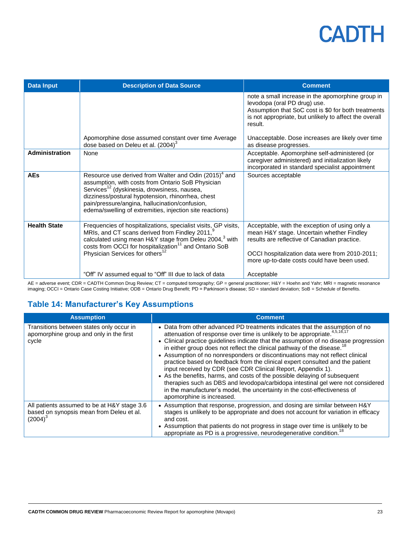| <b>Data Input</b>     | <b>Description of Data Source</b>                                                                                                                                                                                                                                                                                                                    | <b>Comment</b>                                                                                                                                                                                                                               |
|-----------------------|------------------------------------------------------------------------------------------------------------------------------------------------------------------------------------------------------------------------------------------------------------------------------------------------------------------------------------------------------|----------------------------------------------------------------------------------------------------------------------------------------------------------------------------------------------------------------------------------------------|
|                       |                                                                                                                                                                                                                                                                                                                                                      | note a small increase in the apomorphine group in<br>levodopa (oral PD drug) use.<br>Assumption that SoC cost is \$0 for both treatments<br>is not appropriate, but unlikely to affect the overall<br>result.                                |
|                       | Apomorphine dose assumed constant over time Average<br>dose based on Deleu et al. $(2004)^3$                                                                                                                                                                                                                                                         | Unacceptable. Dose increases are likely over time<br>as disease progresses.                                                                                                                                                                  |
| <b>Administration</b> | None                                                                                                                                                                                                                                                                                                                                                 | Acceptable. Apomorphine self-administered (or<br>caregiver administered) and initialization likely<br>incorporated in standard specialist appointment                                                                                        |
| <b>AEs</b>            | Resource use derived from Walter and Odin (2015) <sup>4</sup> and<br>assumption, with costs from Ontario SoB Physician<br>Services <sup>12</sup> (dyskinesia, drowsiness, nausea,<br>dizziness/postural hypotension, rhinorrhea, chest<br>pain/pressure/angina, hallucination/confusion,<br>edema/swelling of extremities, injection site reactions) | Sources acceptable                                                                                                                                                                                                                           |
| <b>Health State</b>   | Frequencies of hospitalizations, specialist visits, GP visits,<br>MRIs, and CT scans derived from Findley 2011, <sup>9</sup><br>calculated using mean H&Y stage from Deleu 2004, <sup>3</sup> with<br>costs from OCCI for hospitalization <sup>11</sup> and Ontario SoB<br>Physician Services for others <sup>12</sup>                               | Acceptable, with the exception of using only a<br>mean H&Y stage. Uncertain whether Findley<br>results are reflective of Canadian practice.<br>OCCI hospitalization data were from 2010-2011;<br>more up-to-date costs could have been used. |
|                       | "Off" IV assumed equal to "Off" III due to lack of data                                                                                                                                                                                                                                                                                              | Acceptable                                                                                                                                                                                                                                   |

AE = adverse event; CDR = CADTH Common Drug Review; CT = computed tomography; GP = general practitioner; H&Y = Hoehn and Yahr; MRI = magnetic resonance imaging; OCCI = Ontario Case Costing Initiative; ODB = Ontario Drug Benefit; PD = Parkinson's disease; SD = standard deviation; SoB = Schedule of Benefits.

### <span id="page-22-0"></span>**Table 14: Manufacturer's Key Assumptions**

| <b>Assumption</b>                                                                                     | <b>Comment</b>                                                                                                                                                                                                                                                                                                                                                                                                                                                                                                                                                                                                                                                                                                                                                                                                                                                     |
|-------------------------------------------------------------------------------------------------------|--------------------------------------------------------------------------------------------------------------------------------------------------------------------------------------------------------------------------------------------------------------------------------------------------------------------------------------------------------------------------------------------------------------------------------------------------------------------------------------------------------------------------------------------------------------------------------------------------------------------------------------------------------------------------------------------------------------------------------------------------------------------------------------------------------------------------------------------------------------------|
| Transitions between states only occur in<br>apomorphine group and only in the first<br>cycle          | • Data from other advanced PD treatments indicates that the assumption of no<br>attenuation of response over time is unlikely to be appropriate. <sup>4,5,16,17</sup><br>• Clinical practice guidelines indicate that the assumption of no disease progression<br>in either group does not reflect the clinical pathway of the disease. <sup>18</sup><br>• Assumption of no nonresponders or discontinuations may not reflect clinical<br>practice based on feedback from the clinical expert consulted and the patient<br>input received by CDR (see CDR Clinical Report, Appendix 1).<br>• As the benefits, harms, and costs of the possible delaying of subsequent<br>therapies such as DBS and levodopa/carbidopa intestinal gel were not considered<br>in the manufacturer's model, the uncertainty in the cost-effectiveness of<br>apomorphine is increased. |
| All patients assumed to be at H&Y stage 3.6<br>based on synopsis mean from Deleu et al.<br>$(2004)^3$ | • Assumption that response, progression, and dosing are similar between H&Y<br>stages is unlikely to be appropriate and does not account for variation in efficacy<br>and cost.<br>• Assumption that patients do not progress in stage over time is unlikely to be<br>appropriate as PD is a progressive, neurodegenerative condition. <sup>18</sup>                                                                                                                                                                                                                                                                                                                                                                                                                                                                                                               |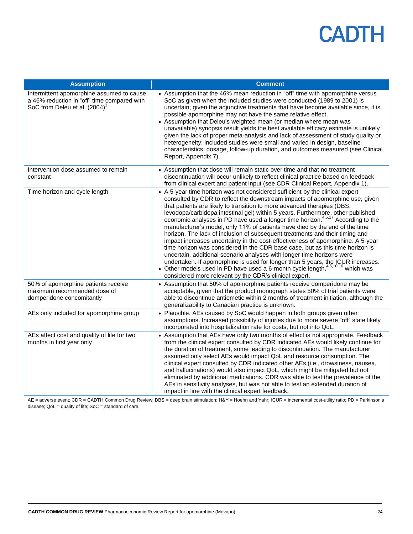| <b>Assumption</b>                                                                                                                     | <b>Comment</b>                                                                                                                                                                                                                                                                                                                                                                                                                                                                                                                                                                                                                                                                                                                                                                                                                                                                                                                                                                                                                                                         |
|---------------------------------------------------------------------------------------------------------------------------------------|------------------------------------------------------------------------------------------------------------------------------------------------------------------------------------------------------------------------------------------------------------------------------------------------------------------------------------------------------------------------------------------------------------------------------------------------------------------------------------------------------------------------------------------------------------------------------------------------------------------------------------------------------------------------------------------------------------------------------------------------------------------------------------------------------------------------------------------------------------------------------------------------------------------------------------------------------------------------------------------------------------------------------------------------------------------------|
| Intermittent apomorphine assumed to cause<br>a 46% reduction in "off" time compared with<br>SoC from Deleu et al. (2004) <sup>3</sup> | • Assumption that the 46% mean reduction in "off" time with apomorphine versus<br>SoC as given when the included studies were conducted (1989 to 2001) is<br>uncertain; given the adjunctive treatments that have become available since, it is<br>possible apomorphine may not have the same relative effect.<br>• Assumption that Deleu's weighted mean (or median where mean was<br>unavailable) synopsis result yields the best available efficacy estimate is unlikely<br>given the lack of proper meta-analysis and lack of assessment of study quality or<br>heterogeneity; included studies were small and varied in design, baseline<br>characteristics, dosage, follow-up duration, and outcomes measured (see Clinical<br>Report, Appendix 7).                                                                                                                                                                                                                                                                                                              |
| Intervention dose assumed to remain<br>constant                                                                                       | • Assumption that dose will remain static over time and that no treatment<br>discontinuation will occur unlikely to reflect clinical practice based on feedback<br>from clinical expert and patient input (see CDR Clinical Report, Appendix 1).                                                                                                                                                                                                                                                                                                                                                                                                                                                                                                                                                                                                                                                                                                                                                                                                                       |
| Time horizon and cycle length                                                                                                         | • A 5-year time horizon was not considered sufficient by the clinical expert<br>consulted by CDR to reflect the downstream impacts of apomorphine use, given<br>that patients are likely to transition to more advanced therapies (DBS,<br>levodopa/carbidopa intestinal gel) within 5 years. Furthermore, other published<br>economic analyses in PD have used a longer time horizon. <sup>4,5,17</sup> According to the<br>manufacturer's model, only 11% of patients have died by the end of the time<br>horizon. The lack of inclusion of subsequent treatments and their timing and<br>impact increases uncertainty in the cost-effectiveness of apomorphine. A 5-year<br>time horizon was considered in the CDR base case, but as this time horizon is<br>uncertain, additional scenario analyses with longer time horizons were<br>undertaken. If apomorphine is used for longer than 5 years, the ICUR increases.<br>• Other models used in PD have used a 6-month cycle length, 4,5,10,16 which was<br>considered more relevant by the CDR's clinical expert. |
| 50% of apomorphine patients receive<br>maximum recommended dose of<br>domperidone concomitantly                                       | • Assumption that 50% of apomorphine patients receive domperidone may be<br>acceptable, given that the product monograph states 50% of trial patients were<br>able to discontinue antiemetic within 2 months of treatment initiation, although the<br>generalizability to Canadian practice is unknown.                                                                                                                                                                                                                                                                                                                                                                                                                                                                                                                                                                                                                                                                                                                                                                |
| AEs only included for apomorphine group                                                                                               | • Plausible. AEs caused by SoC would happen in both groups given other<br>assumptions. Increased possibility of injuries due to more severe "off" state likely<br>incorporated into hospitalization rate for costs, but not into QoL.                                                                                                                                                                                                                                                                                                                                                                                                                                                                                                                                                                                                                                                                                                                                                                                                                                  |
| AEs affect cost and quality of life for two<br>months in first year only                                                              | • Assumption that AEs have only two months of effect is not appropriate. Feedback<br>from the clinical expert consulted by CDR indicated AEs would likely continue for<br>the duration of treatment, some leading to discontinuation. The manufacturer<br>assumed only select AEs would impact QoL and resource consumption. The<br>clinical expert consulted by CDR indicated other AEs (i.e., drowsiness, nausea,<br>and hallucinations) would also impact QoL, which might be mitigated but not<br>eliminated by additional medications. CDR was able to test the prevalence of the<br>AEs in sensitivity analyses, but was not able to test an extended duration of<br>impact in line with the clinical expert feedback.                                                                                                                                                                                                                                                                                                                                           |

AE = adverse event; CDR = CADTH Common Drug Review; DBS = deep brain stimulation; H&Y = Hoehn and Yahr; ICUR = incremental cost-utility ratio; PD = Parkinson's disease;  $QoL =$  quality of life;  $SoC =$  standard of care.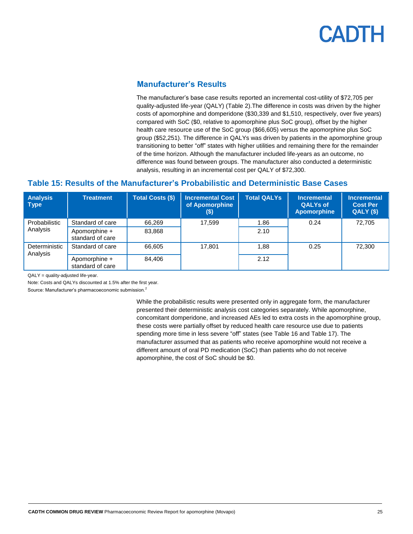### **Manufacturer's Results**

The manufacturer's base case results reported an incremental cost-utility of \$72,705 per quality-adjusted life-year (QALY) [\(Table 2\)](#page-9-3).The difference in costs was driven by the higher costs of apomorphine and domperidone (\$30,339 and \$1,510, respectively, over five years) compared with SoC (\$0, relative to apomorphine plus SoC group), offset by the higher health care resource use of the SoC group (\$66,605) versus the apomorphine plus SoC group (\$52,251). The difference in QALYs was driven by patients in the apomorphine group transitioning to better "off" states with higher utilities and remaining there for the remainder of the time horizon. Although the manufacturer included life-years as an outcome, no difference was found between groups. The manufacturer also conducted a deterministic analysis, resulting in an incremental cost per QALY of \$72,300.

### <span id="page-24-0"></span>**Table 15: Results of the Manufacturer's Probabilistic and Deterministic Base Cases**

| <b>Analysis</b><br><b>Type</b> | <b>Treatment</b>                  | <b>Total Costs (\$)</b> | <b>Incremental Cost</b><br>of Apomorphine<br>$($)$ | <b>Total QALYs</b> | <b>Incremental</b><br><b>QALYs of</b><br><b>Apomorphine</b> | <b>Incremental</b><br><b>Cost Per</b><br>QALY(S) |
|--------------------------------|-----------------------------------|-------------------------|----------------------------------------------------|--------------------|-------------------------------------------------------------|--------------------------------------------------|
| Probabilistic                  | Standard of care                  | 66,269                  | 17.599                                             | 1.86               | 0.24                                                        | 72.705                                           |
| Analysis                       | Apomorphine +<br>standard of care | 83.868                  |                                                    | 2.10               |                                                             |                                                  |
| Deterministic<br>Analysis      | Standard of care                  | 66.605                  | 17,801                                             | 1.88               | 0.25                                                        | 72,300                                           |
|                                | Apomorphine +<br>standard of care | 84.406                  |                                                    | 2.12               |                                                             |                                                  |

QALY = quality-adjusted life-year.

Note: Costs and QALYs discounted at 1.5% after the first year.

Source: Manufacturer's pharmacoeconomic submission.<sup>2</sup>

While the probabilistic results were presented only in aggregate form, the manufacturer presented their deterministic analysis cost categories separately. While apomorphine, concomitant domperidone, and increased AEs led to extra costs in the apomorphine group, these costs were partially offset by reduced health care resource use due to patients spending more time in less severe "off" states (se[e Table 16](#page-25-0) an[d Table 17\)](#page-25-1). The manufacturer assumed that as patients who receive apomorphine would not receive a different amount of oral PD medication (SoC) than patients who do not receive apomorphine, the cost of SoC should be \$0.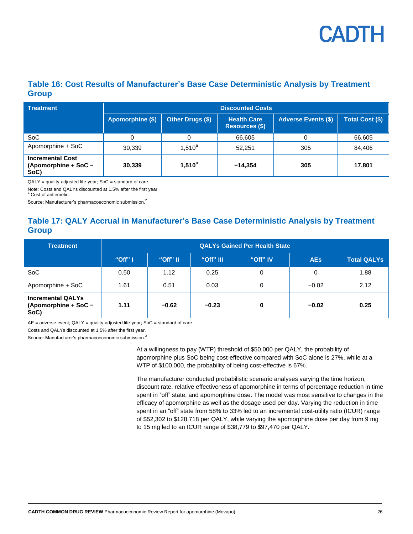

### <span id="page-25-0"></span>**Table 16: Cost Results of Manufacturer's Base Case Deterministic Analysis by Treatment Group**

| Treatment                                               | <b>Discounted Costs</b> |                  |                                      |                            |                        |  |
|---------------------------------------------------------|-------------------------|------------------|--------------------------------------|----------------------------|------------------------|--|
|                                                         | Apomorphine (\$)        | Other Drugs (\$) | <b>Health Care</b><br>Resources (\$) | <b>Adverse Events (\$)</b> | <b>Total Cost (\$)</b> |  |
| SoC                                                     | 0                       |                  | 66,605                               | 0                          | 66,605                 |  |
| Apomorphine + SoC                                       | 30,339                  | $1,510^{a}$      | 52.251                               | 305                        | 84,406                 |  |
| <b>Incremental Cost</b><br>(Apomorphine + SoC -<br>SoC) | 30,339                  | $1,510^{a}$      | $-14.354$                            | 305                        | 17,801                 |  |

QALY = quality-adjusted life-year; SoC = standard of care.

Note: Costs and QALYs discounted at 1.5% after the first year. a Cost of antiemetic.

Source: Manufacturer's pharmacoeconomic submission.<sup>2</sup>

### <span id="page-25-1"></span>**Table 17: QALY Accrual in Manufacturer's Base Case Deterministic Analysis by Treatment Group**

| <b>Treatment</b>                                         | <b>QALYs Gained Per Health State</b> |          |           |          |            |                    |  |
|----------------------------------------------------------|--------------------------------------|----------|-----------|----------|------------|--------------------|--|
|                                                          | "Off" I                              | "Off" II | "Off" III | "Off" IV | <b>AEs</b> | <b>Total QALYs</b> |  |
| <b>SoC</b>                                               | 0.50                                 | 1.12     | 0.25      | 0        | 0          | 1.88               |  |
| Apomorphine + SoC                                        | 1.61                                 | 0.51     | 0.03      | 0        | $-0.02$    | 2.12               |  |
| <b>Incremental QALYs</b><br>(Apomorphine + SoC -<br>SoC) | 1.11                                 | $-0.62$  | $-0.23$   | 0        | $-0.02$    | 0.25               |  |

AE = adverse event; QALY = quality-adjusted life-year; SoC = standard of care.

Costs and QALYs discounted at 1.5% after the first year.

Source: Manufacturer's pharmacoeconomic submission.<sup>2</sup>

At a willingness to pay (WTP) threshold of \$50,000 per QALY, the probability of apomorphine plus SoC being cost-effective compared with SoC alone is 27%, while at a WTP of \$100,000, the probability of being cost-effective is 67%.

The manufacturer conducted probabilistic scenario analyses varying the time horizon, discount rate, relative effectiveness of apomorphine in terms of percentage reduction in time spent in "off" state, and apomorphine dose. The model was most sensitive to changes in the efficacy of apomorphine as well as the dosage used per day. Varying the reduction in time spent in an "off" state from 58% to 33% led to an incremental cost-utility ratio (ICUR) range of \$52,302 to \$128,718 per QALY, while varying the apomorphine dose per day from 9 mg to 15 mg led to an ICUR range of \$38,779 to \$97,470 per QALY.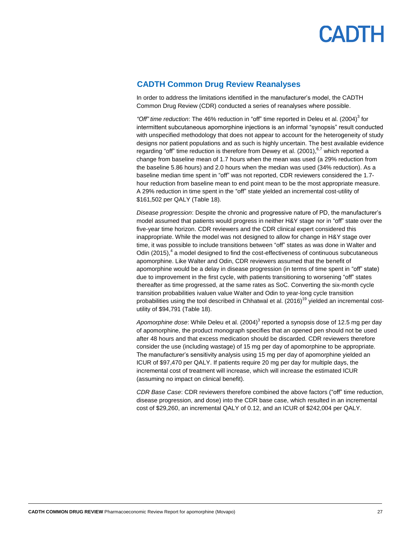

#### **CADTH Common Drug Review Reanalyses**

In order to address the limitations identified in the manufacturer's model, the CADTH Common Drug Review (CDR) conducted a series of reanalyses where possible.

*"Off" time reduction*: The 46% reduction in "off" time reported in Deleu et al. (2004) 3 for intermittent subcutaneous apomorphine injections is an informal "synopsis" result conducted with unspecified methodology that does not appear to account for the heterogeneity of study designs nor patient populations and as such is highly uncertain. The best available evidence regarding "off" time reduction is therefore from Dewey et al. (2001), <sup>6,7</sup> which reported a change from baseline mean of 1.7 hours when the mean was used (a 29% reduction from the baseline 5.86 hours) and 2.0 hours when the median was used (34% reduction). As a baseline median time spent in "off" was not reported, CDR reviewers considered the 1.7 hour reduction from baseline mean to end point mean to be the most appropriate measure. A 29% reduction in time spent in the "off" state yielded an incremental cost-utility of \$161,502 per QALY [\(Table 18\)](#page-27-0).

*Disease progression*: Despite the chronic and progressive nature of PD, the manufacturer's model assumed that patients would progress in neither H&Y stage nor in "off" state over the five-year time horizon. CDR reviewers and the CDR clinical expert considered this inappropriate. While the model was not designed to allow for change in H&Y stage over time, it was possible to include transitions between "off" states as was done in Walter and Odin (2015),<sup>4</sup> a model designed to find the cost-effectiveness of continuous subcutaneous apomorphine. Like Walter and Odin, CDR reviewers assumed that the benefit of apomorphine would be a delay in disease progression (in terms of time spent in "off" state) due to improvement in the first cycle, with patients transitioning to worsening "off" states thereafter as time progressed, at the same rates as SoC. Converting the six-month cycle transition probabilities ivaluen value Walter and Odin to year-long cycle transition probabilities using the tool described in Chhatwal et al. (2016)<sup>19</sup> yielded an incremental costutility of \$94,791 [\(Table 18\)](#page-27-0).

Apomorphine dose: While Deleu et al. (2004)<sup>3</sup> reported a synopsis dose of 12.5 mg per day of apomorphine, the product monograph specifies that an opened pen should not be used after 48 hours and that excess medication should be discarded. CDR reviewers therefore consider the use (including wastage) of 15 mg per day of apomorphine to be appropriate. The manufacturer's sensitivity analysis using 15 mg per day of apomorphine yielded an ICUR of \$97,470 per QALY. If patients require 20 mg per day for multiple days, the incremental cost of treatment will increase, which will increase the estimated ICUR (assuming no impact on clinical benefit).

*CDR Base Case*: CDR reviewers therefore combined the above factors ("off" time reduction, disease progression, and dose) into the CDR base case, which resulted in an incremental cost of \$29,260, an incremental QALY of 0.12, and an ICUR of \$242,004 per QALY.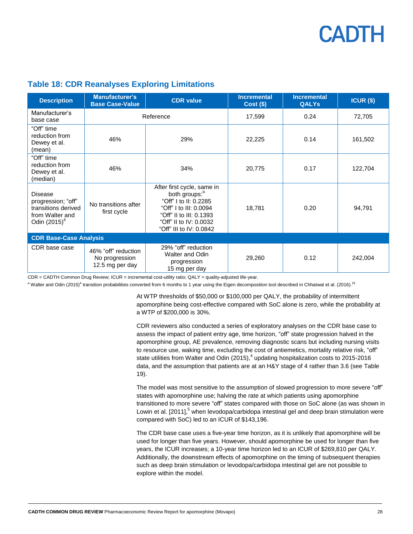### <span id="page-27-0"></span>**Table 18: CDR Reanalyses Exploring Limitations**

| <b>Description</b>                                                                                         | <b>Manufacturer's</b><br><b>Base Case-Value</b>          | <b>CDR</b> value                                                                                                                                                                           | <b>Incremental</b><br>$Cost($ \$) | <b>Incremental</b><br><b>QALYs</b> | $ICUR($ \$) |  |  |  |
|------------------------------------------------------------------------------------------------------------|----------------------------------------------------------|--------------------------------------------------------------------------------------------------------------------------------------------------------------------------------------------|-----------------------------------|------------------------------------|-------------|--|--|--|
| Manufacturer's<br>base case                                                                                | Reference                                                |                                                                                                                                                                                            | 17,599                            | 0.24                               | 72,705      |  |  |  |
| "Off" time<br>reduction from<br>Dewey et al.<br>(mean)                                                     | 46%                                                      | 29%                                                                                                                                                                                        | 22,225                            | 0.14                               | 161,502     |  |  |  |
| "Off" time<br>reduction from<br>Dewey et al.<br>(median)                                                   | 46%                                                      | 34%                                                                                                                                                                                        | 20,775                            | 0.17                               | 122,704     |  |  |  |
| <b>Disease</b><br>progression; "off"<br>transitions derived<br>from Walter and<br>Odin (2015) <sup>4</sup> | No transitions after<br>first cycle                      | After first cycle, same in<br>both groups: <sup>a</sup><br>"Off" I to II: 0.2285<br>"Off" I to III: 0.0094<br>"Off" II to III: 0.1393<br>"Off" II to IV: 0.0032<br>"Off" III to IV: 0.0842 | 18,781                            | 0.20                               | 94,791      |  |  |  |
| <b>CDR Base-Case Analysis</b>                                                                              |                                                          |                                                                                                                                                                                            |                                   |                                    |             |  |  |  |
| CDR base case                                                                                              | 46% "off" reduction<br>No progression<br>12.5 mg per day | 29% "off" reduction<br>Walter and Odin<br>progression<br>15 mg per day                                                                                                                     | 29,260                            | 0.12                               | 242,004     |  |  |  |

CDR = CADTH Common Drug Review; ICUR = incremental cost-utility ratio; QALY = quality-adjusted life-year.

<sup>a</sup> Walter and Odin (2015)<sup>4</sup> transition probabilities converted from 6 months to 1 year using the Eigen decomposition tool described in Chhatwal et al. (2016).<sup>19</sup>

At WTP thresholds of \$50,000 or \$100,000 per QALY, the probability of intermittent apomorphine being cost-effective compared with SoC alone is zero, while the probability at a WTP of \$200,000 is 30%.

CDR reviewers also conducted a series of exploratory analyses on the CDR base case to assess the impact of patient entry age, time horizon, "off" state progression halved in the apomorphine group, AE prevalence, removing diagnostic scans but including nursing visits to resource use, waking time, excluding the cost of antiemetics, mortality relative risk, "off" state utilities from Walter and Odin (2015),<sup>4</sup> updating hospitalization costs to 2015-2016 data, and the assumption that patients are at an H&Y stage of 4 rather than 3.6 (se[e Table](#page-28-0)  [19\)](#page-28-0).

The model was most sensitive to the assumption of slowed progression to more severe "off" states with apomorphine use; halving the rate at which patients using apomorphine transitioned to more severe "off" states compared with those on SoC alone (as was shown in Lowin et al.  $[2011]$ <sup>5</sup> when levodopa/carbidopa intestinal gel and deep brain stimulation were compared with SoC) led to an ICUR of \$143,196.

The CDR base case uses a five-year time horizon, as it is unlikely that apomorphine will be used for longer than five years. However, should apomorphine be used for longer than five years, the ICUR increases; a 10-year time horizon led to an ICUR of \$269,810 per QALY. Additionally, the downstream effects of apomorphine on the timing of subsequent therapies such as deep brain stimulation or levodopa/carbidopa intestinal gel are not possible to explore within the model.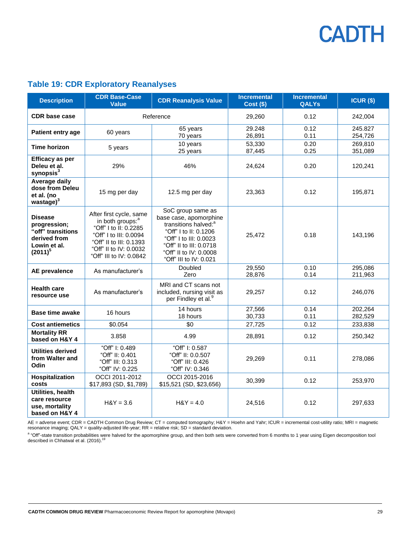| <b>Description</b>                                                                                | <b>CDR Base-Case</b><br><b>Value</b>                                                                                                                                                       | <b>CDR Reanalysis Value</b>                                                                                                                                                                                       | <b>Incremental</b><br><b>Cost (\$)</b> | <b>Incremental</b><br><b>QALYs</b> | $ICUR($ \$)        |
|---------------------------------------------------------------------------------------------------|--------------------------------------------------------------------------------------------------------------------------------------------------------------------------------------------|-------------------------------------------------------------------------------------------------------------------------------------------------------------------------------------------------------------------|----------------------------------------|------------------------------------|--------------------|
| <b>CDR</b> base case                                                                              | Reference                                                                                                                                                                                  |                                                                                                                                                                                                                   | 29,260                                 | 0.12                               | 242,004            |
| Patient entry age                                                                                 | 60 years                                                                                                                                                                                   | 65 years<br>70 years                                                                                                                                                                                              | 29.248<br>26,891                       | 0.12<br>0.11                       | 245.827<br>254,726 |
| Time horizon                                                                                      | 5 years                                                                                                                                                                                    | 10 years<br>25 years                                                                                                                                                                                              | 53,330<br>87,445                       | 0.20<br>0.25                       | 269,810<br>351,089 |
| <b>Efficacy as per</b><br>Deleu et al.<br>synopsis $3$                                            | 29%                                                                                                                                                                                        | 46%                                                                                                                                                                                                               | 24,624                                 | 0.20                               | 120,241            |
| Average daily<br>dose from Deleu<br>et al. (no<br>wastage $)^3$                                   | 15 mg per day                                                                                                                                                                              | 12.5 mg per day                                                                                                                                                                                                   | 23,363                                 | 0.12                               | 195,871            |
| <b>Disease</b><br>progression;<br>"off" transitions<br>derived from<br>Lowin et al.<br>$(2011)^5$ | After first cycle, same<br>in both groups: <sup>a</sup><br>"Off" I to II: 0.2285<br>"Off" I to III: 0.0094<br>"Off" II to III: 0.1393<br>"Off" II to IV: 0.0032<br>"Off" III to IV: 0.0842 | SoC group same as<br>base case, apomorphine<br>transitions halved: <sup>a</sup><br>"Off" I to II: 0.1206<br>"Off" I to III: 0.0023<br>"Off" II to III: 0.0718<br>"Off" II to IV: 0.0008<br>"Off" III to IV: 0.021 | 25,472                                 | 0.18                               | 143,196            |
| <b>AE</b> prevalence                                                                              | As manufacturer's                                                                                                                                                                          | Doubled<br>Zero                                                                                                                                                                                                   | 29,550<br>28,876                       | 0.10<br>0.14                       | 295,086<br>211,963 |
| <b>Health care</b><br>resource use                                                                | As manufacturer's                                                                                                                                                                          | MRI and CT scans not<br>included, nursing visit as<br>per Findley et al. <sup>9</sup>                                                                                                                             | 29,257                                 | 0.12                               | 246,076            |
| Base time awake                                                                                   | 16 hours                                                                                                                                                                                   | 14 hours<br>18 hours                                                                                                                                                                                              | 27,566<br>30,733                       | 0.14<br>0.11                       | 202,264<br>282,529 |
| <b>Cost antiemetics</b>                                                                           | \$0.054                                                                                                                                                                                    | \$0                                                                                                                                                                                                               | 27,725                                 | 0.12                               | 233,838            |
| <b>Mortality RR</b><br>based on H&Y 4                                                             | 3.858                                                                                                                                                                                      | 4.99                                                                                                                                                                                                              | 28,891                                 | 0.12                               | 250,342            |
| <b>Utilities derived</b><br>from Walter and<br>Odin                                               | "Off" I: 0.489<br>"Off" II: 0.401<br>"Off" III: 0.313<br>"Off" IV: 0.225                                                                                                                   | "Off" I: 0.587<br>"Off" II: 0.0.507<br>"Off" III: 0.426<br>"Off" IV: 0.346                                                                                                                                        | 29,269                                 | 0.11                               | 278,086            |
| Hospitalization<br>costs                                                                          | OCCI 2011-2012<br>\$17,893 (SD, \$1,789)                                                                                                                                                   | OCCI 2015-2016<br>\$15,521 (SD, \$23,656)                                                                                                                                                                         | 30,399                                 | 0.12                               | 253,970            |
| Utilities, health<br>care resource<br>use, mortality<br>based on H&Y 4                            | $H&Y = 3.6$                                                                                                                                                                                | $H&Y = 4.0$                                                                                                                                                                                                       | 24,516                                 | 0.12                               | 297,633            |

### <span id="page-28-0"></span>**Table 19: CDR Exploratory Reanalyses**

AE = adverse event; CDR = CADTH Common Drug Review; CT = computed tomography; H&Y = Hoehn and Yahr; ICUR = incremental cost-utility ratio; MRI = magnetic resonance imaging; QALY = quality-adjusted life-year; RR = relative risk; SD = standard deviation.

a "Off"-state transition probabilities were halved for the apomorphine group, and then both sets were converted from 6 months to 1 year using Eigen decomposition tool described in Chhatwal et al. (2016).<sup>19</sup>